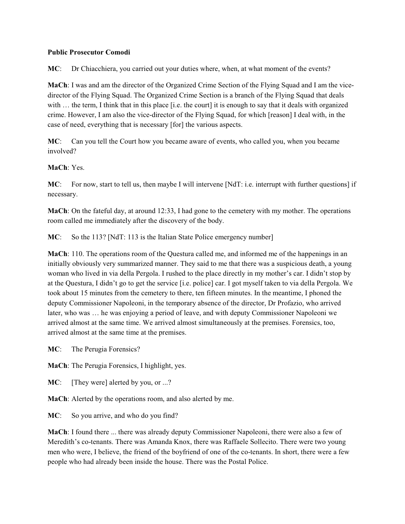### **Public Prosecutor Comodi**

**MC**: Dr Chiacchiera, you carried out your duties where, when, at what moment of the events?

**MaCh**: I was and am the director of the Organized Crime Section of the Flying Squad and I am the vicedirector of the Flying Squad. The Organized Crime Section is a branch of the Flying Squad that deals with ... the term, I think that in this place [i.e. the court] it is enough to say that it deals with organized crime. However, I am also the vice-director of the Flying Squad, for which [reason] I deal with, in the case of need, everything that is necessary [for] the various aspects.

**MC**: Can you tell the Court how you became aware of events, who called you, when you became involved?

### **MaCh**: Yes.

**MC**: For now, start to tell us, then maybe I will intervene [NdT: i.e. interrupt with further questions] if necessary.

**MaCh**: On the fateful day, at around 12:33, I had gone to the cemetery with my mother. The operations room called me immediately after the discovery of the body.

**MC**: So the 113? [NdT: 113 is the Italian State Police emergency number]

**MaCh**: 110. The operations room of the Questura called me, and informed me of the happenings in an initially obviously very summarized manner. They said to me that there was a suspicious death, a young woman who lived in via della Pergola. I rushed to the place directly in my mother's car. I didn't stop by at the Questura, I didn't go to get the service [i.e. police] car. I got myself taken to via della Pergola. We took about 15 minutes from the cemetery to there, ten fifteen minutes. In the meantime, I phoned the deputy Commissioner Napoleoni, in the temporary absence of the director, Dr Profazio, who arrived later, who was … he was enjoying a period of leave, and with deputy Commissioner Napoleoni we arrived almost at the same time. We arrived almost simultaneously at the premises. Forensics, too, arrived almost at the same time at the premises.

**MC**: The Perugia Forensics?

**MaCh**: The Perugia Forensics, I highlight, yes.

**MC**: [They were] alerted by you, or ...?

**MaCh**: Alerted by the operations room, and also alerted by me.

**MC**: So you arrive, and who do you find?

**MaCh**: I found there ... there was already deputy Commissioner Napoleoni, there were also a few of Meredith's co-tenants. There was Amanda Knox, there was Raffaele Sollecito. There were two young men who were, I believe, the friend of the boyfriend of one of the co-tenants. In short, there were a few people who had already been inside the house. There was the Postal Police.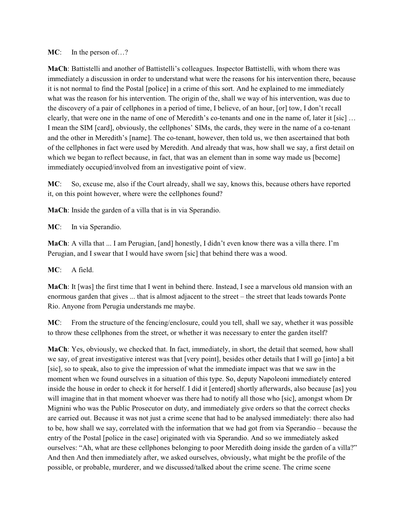### **MC**: In the person of...?

**MaCh**: Battistelli and another of Battistelli's colleagues. Inspector Battistelli, with whom there was immediately a discussion in order to understand what were the reasons for his intervention there, because it is not normal to find the Postal [police] in a crime of this sort. And he explained to me immediately what was the reason for his intervention. The origin of the, shall we way of his intervention, was due to the discovery of a pair of cellphones in a period of time, I believe, of an hour, [or] tow, I don't recall clearly, that were one in the name of one of Meredith's co-tenants and one in the name of, later it [sic] … I mean the SIM [card], obviously, the cellphones' SIMs, the cards, they were in the name of a co-tenant and the other in Meredith's [name]. The co-tenant, however, then told us, we then ascertained that both of the cellphones in fact were used by Meredith. And already that was, how shall we say, a first detail on which we began to reflect because, in fact, that was an element than in some way made us [become] immediately occupied/involved from an investigative point of view.

**MC**: So, excuse me, also if the Court already, shall we say, knows this, because others have reported it, on this point however, where were the cellphones found?

**MaCh**: Inside the garden of a villa that is in via Sperandio.

**MC**: In via Sperandio.

**MaCh**: A villa that ... I am Perugian, [and] honestly, I didn't even know there was a villa there. I'm Perugian, and I swear that I would have sworn [sic] that behind there was a wood.

**MC**: A field.

**MaCh**: It [was] the first time that I went in behind there. Instead, I see a marvelous old mansion with an enormous garden that gives ... that is almost adjacent to the street – the street that leads towards Ponte Rio. Anyone from Perugia understands me maybe.

**MC**: From the structure of the fencing/enclosure, could you tell, shall we say, whether it was possible to throw these cellphones from the street, or whether it was necessary to enter the garden itself?

**MaCh**: Yes, obviously, we checked that. In fact, immediately, in short, the detail that seemed, how shall we say, of great investigative interest was that [very point], besides other details that I will go [into] a bit [sic], so to speak, also to give the impression of what the immediate impact was that we saw in the moment when we found ourselves in a situation of this type. So, deputy Napoleoni immediately entered inside the house in order to check it for herself. I did it [entered] shortly afterwards, also because [as] you will imagine that in that moment whoever was there had to notify all those who [sic], amongst whom Dr Mignini who was the Public Prosecutor on duty, and immediately give orders so that the correct checks are carried out. Because it was not just a crime scene that had to be analysed immediately: there also had to be, how shall we say, correlated with the information that we had got from via Sperandio – because the entry of the Postal [police in the case] originated with via Sperandio. And so we immediately asked ourselves: "Ah, what are these cellphones belonging to poor Meredith doing inside the garden of a villa?" And then And then immediately after, we asked ourselves, obviously, what might be the profile of the possible, or probable, murderer, and we discussed/talked about the crime scene. The crime scene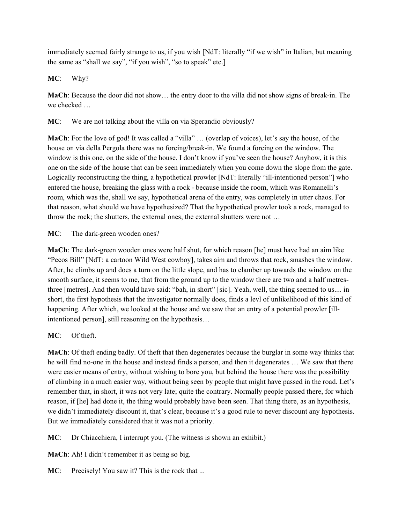immediately seemed fairly strange to us, if you wish [NdT: literally "if we wish" in Italian, but meaning the same as "shall we say", "if you wish", "so to speak" etc.]

# **MC**: Why?

**MaCh**: Because the door did not show… the entry door to the villa did not show signs of break-in. The we checked …

**MC**: We are not talking about the villa on via Sperandio obviously?

**MaCh**: For the love of god! It was called a "villa" … (overlap of voices), let's say the house, of the house on via della Pergola there was no forcing/break-in. We found a forcing on the window. The window is this one, on the side of the house. I don't know if you've seen the house? Anyhow, it is this one on the side of the house that can be seen immediately when you come down the slope from the gate. Logically reconstructing the thing, a hypothetical prowler [NdT: literally "ill-intentioned person"] who entered the house, breaking the glass with a rock - because inside the room, which was Romanelli's room, which was the, shall we say, hypothetical arena of the entry, was completely in utter chaos. For that reason, what should we have hypothesized? That the hypothetical prowler took a rock, managed to throw the rock; the shutters, the external ones, the external shutters were not …

**MC**: The dark-green wooden ones?

**MaCh**: The dark-green wooden ones were half shut, for which reason [he] must have had an aim like "Pecos Bill" [NdT: a cartoon Wild West cowboy], takes aim and throws that rock, smashes the window. After, he climbs up and does a turn on the little slope, and has to clamber up towards the window on the smooth surface, it seems to me, that from the ground up to the window there are two and a half metresthree [metres]. And then would have said: "bah, in short" [sic]. Yeah, well, the thing seemed to us.... in short, the first hypothesis that the investigator normally does, finds a levl of unlikelihood of this kind of happening. After which, we looked at the house and we saw that an entry of a potential prowler [illintentioned person], still reasoning on the hypothesis…

# **MC**: Of theft.

**MaCh**: Of theft ending badly. Of theft that then degenerates because the burglar in some way thinks that he will find no-one in the house and instead finds a person, and then it degenerates … We saw that there were easier means of entry, without wishing to bore you, but behind the house there was the possibility of climbing in a much easier way, without being seen by people that might have passed in the road. Let's remember that, in short, it was not very late; quite the contrary. Normally people passed there, for which reason, if [he] had done it, the thing would probably have been seen. That thing there, as an hypothesis, we didn't immediately discount it, that's clear, because it's a good rule to never discount any hypothesis. But we immediately considered that it was not a priority.

**MC**: Dr Chiacchiera, I interrupt you. (The witness is shown an exhibit.)

**MaCh**: Ah! I didn't remember it as being so big.

**MC:** Precisely! You saw it? This is the rock that ...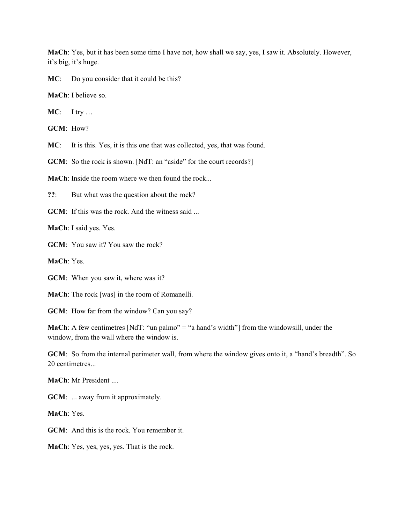**MaCh**: Yes, but it has been some time I have not, how shall we say, yes, I saw it. Absolutely. However, it's big, it's huge.

**MC**: Do you consider that it could be this?

**MaCh**: I believe so.

**MC**: I try …

**GCM**: How?

**MC**: It is this. Yes, it is this one that was collected, yes, that was found.

**GCM**: So the rock is shown. [NdT: an "aside" for the court records?]

**MaCh**: Inside the room where we then found the rock...

**??**: But what was the question about the rock?

**GCM**: If this was the rock. And the witness said ...

**MaCh**: I said yes. Yes.

**GCM**: You saw it? You saw the rock?

**MaCh**: Yes.

**GCM**: When you saw it, where was it?

**MaCh**: The rock [was] in the room of Romanelli.

**GCM**: How far from the window? Can you say?

**MaCh**: A few centimetres [NdT: "un palmo" = "a hand's width"] from the windowsill, under the window, from the wall where the window is.

**GCM**: So from the internal perimeter wall, from where the window gives onto it, a "hand's breadth". So 20 centimetres...

**MaCh**: Mr President ....

**GCM**: ... away from it approximately.

**MaCh**: Yes.

**GCM**: And this is the rock. You remember it.

**MaCh**: Yes, yes, yes, yes. That is the rock.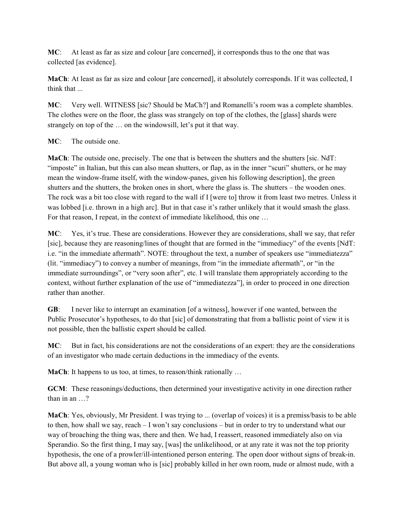**MC**: At least as far as size and colour [are concerned], it corresponds thus to the one that was collected [as evidence].

**MaCh**: At least as far as size and colour [are concerned], it absolutely corresponds. If it was collected, I think that ...

**MC**: Very well. WITNESS [sic? Should be MaCh?] and Romanelli's room was a complete shambles. The clothes were on the floor, the glass was strangely on top of the clothes, the [glass] shards were strangely on top of the … on the windowsill, let's put it that way.

# **MC**: The outside one.

**MaCh**: The outside one, precisely. The one that is between the shutters and the shutters [sic. NdT: "imposte" in Italian, but this can also mean shutters, or flap, as in the inner "scuri" shutters, or he may mean the window-frame itself, with the window-panes, given his following description], the green shutters and the shutters, the broken ones in short, where the glass is. The shutters – the wooden ones. The rock was a bit too close with regard to the wall if I [were to] throw it from least two metres. Unless it was lobbed [i.e. thrown in a high arc]. But in that case it's rather unlikely that it would smash the glass. For that reason, I repeat, in the context of immediate likelihood, this one …

**MC**: Yes, it's true. These are considerations. However they are considerations, shall we say, that refer [sic], because they are reasoning/lines of thought that are formed in the "immediacy" of the events [NdT: i.e. "in the immediate aftermath". NOTE: throughout the text, a number of speakers use "immediatezza" (lit. "immediacy") to convey a number of meanings, from "in the immediate aftermath", or "in the immediate surroundings", or "very soon after", etc. I will translate them appropriately according to the context, without further explanation of the use of "immediatezza"], in order to proceed in one direction rather than another.

**GB**: I never like to interrupt an examination [of a witness], however if one wanted, between the Public Prosecutor's hypotheses, to do that [sic] of demonstrating that from a ballistic point of view it is not possible, then the ballistic expert should be called.

**MC**: But in fact, his considerations are not the considerations of an expert: they are the considerations of an investigator who made certain deductions in the immediacy of the events.

**MaCh**: It happens to us too, at times, to reason/think rationally ...

**GCM**: These reasonings/deductions, then determined your investigative activity in one direction rather than in an …?

**MaCh**: Yes, obviously, Mr President. I was trying to ... (overlap of voices) it is a premiss/basis to be able to then, how shall we say, reach – I won't say conclusions – but in order to try to understand what our way of broaching the thing was, there and then. We had, I reassert, reasoned immediately also on via Sperandio. So the first thing, I may say, [was] the unlikelihood, or at any rate it was not the top priority hypothesis, the one of a prowler/ill-intentioned person entering. The open door without signs of break-in. But above all, a young woman who is [sic] probably killed in her own room, nude or almost nude, with a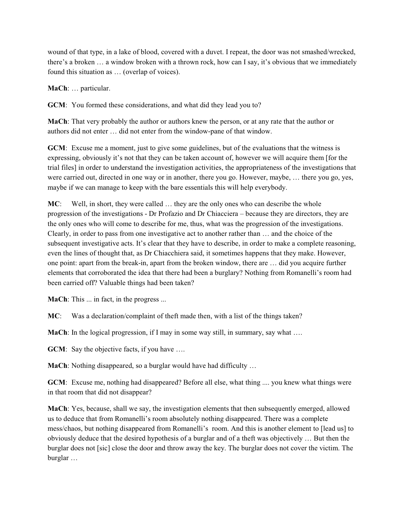wound of that type, in a lake of blood, covered with a duvet. I repeat, the door was not smashed/wrecked, there's a broken … a window broken with a thrown rock, how can I say, it's obvious that we immediately found this situation as … (overlap of voices).

**MaCh**: … particular.

**GCM**: You formed these considerations, and what did they lead you to?

**MaCh**: That very probably the author or authors knew the person, or at any rate that the author or authors did not enter … did not enter from the window-pane of that window.

**GCM**: Excuse me a moment, just to give some guidelines, but of the evaluations that the witness is expressing, obviously it's not that they can be taken account of, however we will acquire them [for the trial files] in order to understand the investigation activities, the appropriateness of the investigations that were carried out, directed in one way or in another, there you go. However, maybe, … there you go, yes, maybe if we can manage to keep with the bare essentials this will help everybody.

**MC**: Well, in short, they were called … they are the only ones who can describe the whole progression of the investigations - Dr Profazio and Dr Chiacciera – because they are directors, they are the only ones who will come to describe for me, thus, what was the progression of the investigations. Clearly, in order to pass from one investigative act to another rather than … and the choice of the subsequent investigative acts. It's clear that they have to describe, in order to make a complete reasoning, even the lines of thought that, as Dr Chiacchiera said, it sometimes happens that they make. However, one point: apart from the break-in, apart from the broken window, there are … did you acquire further elements that corroborated the idea that there had been a burglary? Nothing from Romanelli's room had been carried off? Valuable things had been taken?

**MaCh**: This ... in fact, in the progress ...

**MC**: Was a declaration/complaint of theft made then, with a list of the things taken?

**MaCh**: In the logical progression, if I may in some way still, in summary, say what ...

**GCM**: Say the objective facts, if you have ....

**MaCh**: Nothing disappeared, so a burglar would have had difficulty …

**GCM**: Excuse me, nothing had disappeared? Before all else, what thing .... you knew what things were in that room that did not disappear?

**MaCh**: Yes, because, shall we say, the investigation elements that then subsequently emerged, allowed us to deduce that from Romanelli's room absolutely nothing disappeared. There was a complete mess/chaos, but nothing disappeared from Romanelli's room. And this is another element to [lead us] to obviously deduce that the desired hypothesis of a burglar and of a theft was objectively … But then the burglar does not [sic] close the door and throw away the key. The burglar does not cover the victim. The burglar …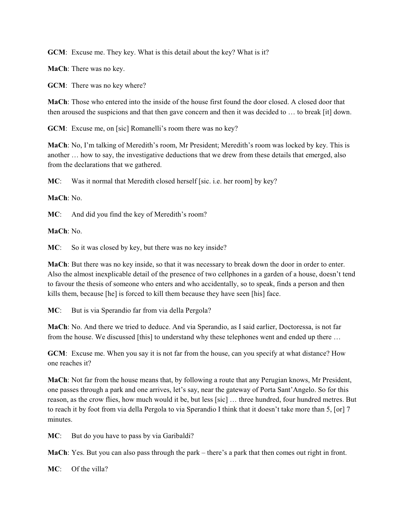**GCM**: Excuse me. They key. What is this detail about the key? What is it?

**MaCh**: There was no key.

**GCM**: There was no key where?

**MaCh**: Those who entered into the inside of the house first found the door closed. A closed door that then aroused the suspicions and that then gave concern and then it was decided to … to break [it] down.

**GCM**: Excuse me, on [sic] Romanelli's room there was no key?

**MaCh**: No, I'm talking of Meredith's room, Mr President; Meredith's room was locked by key. This is another … how to say, the investigative deductions that we drew from these details that emerged, also from the declarations that we gathered.

**MC**: Was it normal that Meredith closed herself [sic. i.e. her room] by key?

**MaCh**: No.

**MC**: And did you find the key of Meredith's room?

**MaCh**: No.

**MC**: So it was closed by key, but there was no key inside?

**MaCh**: But there was no key inside, so that it was necessary to break down the door in order to enter. Also the almost inexplicable detail of the presence of two cellphones in a garden of a house, doesn't tend to favour the thesis of someone who enters and who accidentally, so to speak, finds a person and then kills them, because [he] is forced to kill them because they have seen [his] face.

**MC**: But is via Sperandio far from via della Pergola?

**MaCh**: No. And there we tried to deduce. And via Sperandio, as I said earlier, Doctoressa, is not far from the house. We discussed [this] to understand why these telephones went and ended up there …

**GCM**: Excuse me. When you say it is not far from the house, can you specify at what distance? How one reaches it?

**MaCh**: Not far from the house means that, by following a route that any Perugian knows, Mr President, one passes through a park and one arrives, let's say, near the gateway of Porta Sant'Angelo. So for this reason, as the crow flies, how much would it be, but less [sic] … three hundred, four hundred metres. But to reach it by foot from via della Pergola to via Sperandio I think that it doesn't take more than 5, [or] 7 minutes.

**MC**: But do you have to pass by via Garibaldi?

**MaCh**: Yes. But you can also pass through the park – there's a park that then comes out right in front.

**MC**: Of the villa?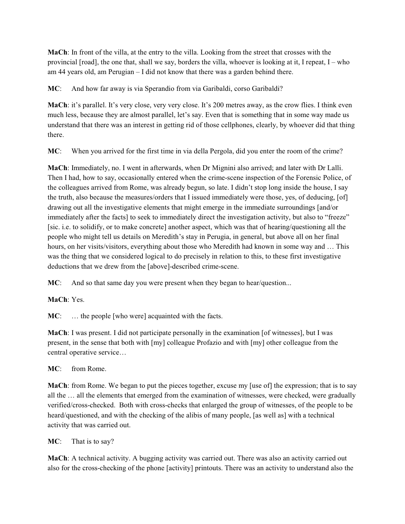**MaCh**: In front of the villa, at the entry to the villa. Looking from the street that crosses with the provincial [road], the one that, shall we say, borders the villa, whoever is looking at it, I repeat,  $I - who$ am 44 years old, am Perugian – I did not know that there was a garden behind there.

**MC**: And how far away is via Sperandio from via Garibaldi, corso Garibaldi?

**MaCh**: it's parallel. It's very close, very very close. It's 200 metres away, as the crow flies. I think even much less, because they are almost parallel, let's say. Even that is something that in some way made us understand that there was an interest in getting rid of those cellphones, clearly, by whoever did that thing there.

**MC**: When you arrived for the first time in via della Pergola, did you enter the room of the crime?

**MaCh**: Immediately, no. I went in afterwards, when Dr Mignini also arrived; and later with Dr Lalli. Then I had, how to say, occasionally entered when the crime-scene inspection of the Forensic Police, of the colleagues arrived from Rome, was already begun, so late. I didn't stop long inside the house, I say the truth, also because the measures/orders that I issued immediately were those, yes, of deducing, [of] drawing out all the investigative elements that might emerge in the immediate surroundings [and/or immediately after the facts] to seek to immediately direct the investigation activity, but also to "freeze" [sic. i.e. to solidify, or to make concrete] another aspect, which was that of hearing/questioning all the people who might tell us details on Meredith's stay in Perugia, in general, but above all on her final hours, on her visits/visitors, everything about those who Meredith had known in some way and … This was the thing that we considered logical to do precisely in relation to this, to these first investigative deductions that we drew from the [above]-described crime-scene.

**MC**: And so that same day you were present when they began to hear/question...

**MaCh**: Yes.

**MC**: … the people [who were] acquainted with the facts.

**MaCh**: I was present. I did not participate personally in the examination [of witnesses], but I was present, in the sense that both with [my] colleague Profazio and with [my] other colleague from the central operative service…

**MC**: from Rome.

**MaCh**: from Rome. We began to put the pieces together, excuse my [use of] the expression; that is to say all the … all the elements that emerged from the examination of witnesses, were checked, were gradually verified/cross-checked. Both with cross-checks that enlarged the group of witnesses, of the people to be heard/questioned, and with the checking of the alibis of many people, [as well as] with a technical activity that was carried out.

**MC**: That is to say?

**MaCh**: A technical activity. A bugging activity was carried out. There was also an activity carried out also for the cross-checking of the phone [activity] printouts. There was an activity to understand also the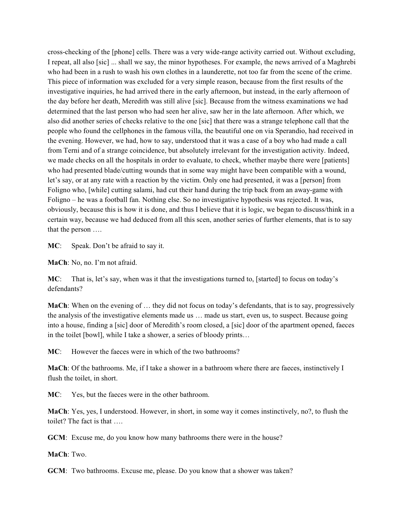cross-checking of the [phone] cells. There was a very wide-range activity carried out. Without excluding, I repeat, all also [sic] ... shall we say, the minor hypotheses. For example, the news arrived of a Maghrebi who had been in a rush to wash his own clothes in a launderette, not too far from the scene of the crime. This piece of information was excluded for a very simple reason, because from the first results of the investigative inquiries, he had arrived there in the early afternoon, but instead, in the early afternoon of the day before her death, Meredith was still alive [sic]. Because from the witness examinations we had determined that the last person who had seen her alive, saw her in the late afternoon. After which, we also did another series of checks relative to the one [sic] that there was a strange telephone call that the people who found the cellphones in the famous villa, the beautiful one on via Sperandio, had received in the evening. However, we had, how to say, understood that it was a case of a boy who had made a call from Terni and of a strange coincidence, but absolutely irrelevant for the investigation activity. Indeed, we made checks on all the hospitals in order to evaluate, to check, whether maybe there were [patients] who had presented blade/cutting wounds that in some way might have been compatible with a wound, let's say, or at any rate with a reaction by the victim. Only one had presented, it was a [person] from Foligno who, [while] cutting salami, had cut their hand during the trip back from an away-game with Foligno – he was a football fan. Nothing else. So no investigative hypothesis was rejected. It was, obviously, because this is how it is done, and thus I believe that it is logic, we began to discuss/think in a certain way, because we had deduced from all this scen, another series of further elements, that is to say that the person ….

**MC**: Speak. Don't be afraid to say it.

**MaCh**: No, no. I'm not afraid.

**MC**: That is, let's say, when was it that the investigations turned to, [started] to focus on today's defendants?

**MaCh**: When on the evening of ... they did not focus on today's defendants, that is to say, progressively the analysis of the investigative elements made us … made us start, even us, to suspect. Because going into a house, finding a [sic] door of Meredith's room closed, a [sic] door of the apartment opened, faeces in the toilet [bowl], while I take a shower, a series of bloody prints…

**MC**: However the faeces were in which of the two bathrooms?

**MaCh**: Of the bathrooms. Me, if I take a shower in a bathroom where there are faeces, instinctively I flush the toilet, in short.

**MC**: Yes, but the faeces were in the other bathroom.

**MaCh**: Yes, yes, I understood. However, in short, in some way it comes instinctively, no?, to flush the toilet? The fact is that ….

**GCM**: Excuse me, do you know how many bathrooms there were in the house?

**MaCh**: Two.

**GCM**: Two bathrooms. Excuse me, please. Do you know that a shower was taken?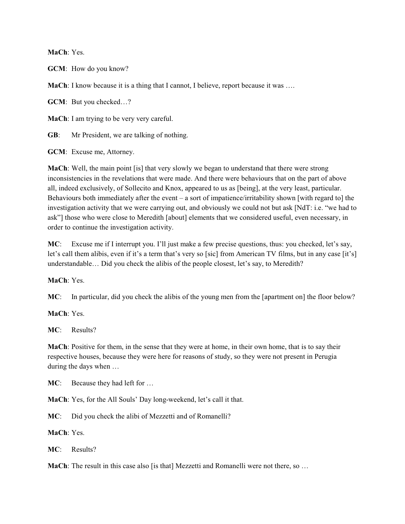**MaCh**: Yes.

**GCM**: How do you know?

**MaCh**: I know because it is a thing that I cannot, I believe, report because it was ...

**GCM**: But you checked…?

**MaCh**: I am trying to be very very careful.

**GB**: Mr President, we are talking of nothing.

**GCM**: Excuse me, Attorney.

**MaCh**: Well, the main point [is] that very slowly we began to understand that there were strong inconsistencies in the revelations that were made. And there were behaviours that on the part of above all, indeed exclusively, of Sollecito and Knox, appeared to us as [being], at the very least, particular. Behaviours both immediately after the event – a sort of impatience/irritability shown [with regard to] the investigation activity that we were carrying out, and obviously we could not but ask [NdT: i.e. "we had to ask"] those who were close to Meredith [about] elements that we considered useful, even necessary, in order to continue the investigation activity.

**MC**: Excuse me if I interrupt you. I'll just make a few precise questions, thus: you checked, let's say, let's call them alibis, even if it's a term that's very so [sic] from American TV films, but in any case [it's] understandable… Did you check the alibis of the people closest, let's say, to Meredith?

**MaCh**: Yes.

**MC**: In particular, did you check the alibis of the young men from the [apartment on] the floor below?

**MaCh**: Yes.

**MC**: Results?

**MaCh**: Positive for them, in the sense that they were at home, in their own home, that is to say their respective houses, because they were here for reasons of study, so they were not present in Perugia during the days when …

**MC**: Because they had left for …

**MaCh**: Yes, for the All Souls' Day long-weekend, let's call it that.

**MC**: Did you check the alibi of Mezzetti and of Romanelli?

**MaCh**: Yes.

**MC**: Results?

**MaCh**: The result in this case also [is that] Mezzetti and Romanelli were not there, so ...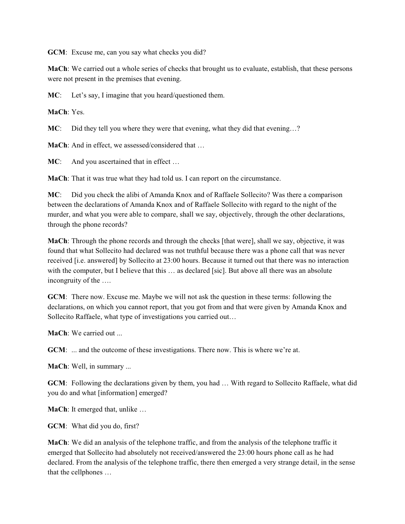**GCM**: Excuse me, can you say what checks you did?

**MaCh**: We carried out a whole series of checks that brought us to evaluate, establish, that these persons were not present in the premises that evening.

**MC**: Let's say, I imagine that you heard/questioned them.

**MaCh**: Yes.

**MC**: Did they tell you where they were that evening, what they did that evening...?

**MaCh:** And in effect, we assessed/considered that ...

**MC**: And you ascertained that in effect ...

**MaCh**: That it was true what they had told us. I can report on the circumstance.

**MC**: Did you check the alibi of Amanda Knox and of Raffaele Sollecito? Was there a comparison between the declarations of Amanda Knox and of Raffaele Sollecito with regard to the night of the murder, and what you were able to compare, shall we say, objectively, through the other declarations, through the phone records?

**MaCh**: Through the phone records and through the checks [that were], shall we say, objective, it was found that what Sollecito had declared was not truthful because there was a phone call that was never received [i.e. answered] by Sollecito at 23:00 hours. Because it turned out that there was no interaction with the computer, but I believe that this  $\dots$  as declared [sic]. But above all there was an absolute incongruity of the ….

**GCM**: There now. Excuse me. Maybe we will not ask the question in these terms: following the declarations, on which you cannot report, that you got from and that were given by Amanda Knox and Sollecito Raffaele, what type of investigations you carried out…

**MaCh**: We carried out

**GCM:** ... and the outcome of these investigations. There now. This is where we're at.

**MaCh**: Well, in summary ...

**GCM**: Following the declarations given by them, you had … With regard to Sollecito Raffaele, what did you do and what [information] emerged?

**MaCh**: It emerged that, unlike …

**GCM**: What did you do, first?

**MaCh**: We did an analysis of the telephone traffic, and from the analysis of the telephone traffic it emerged that Sollecito had absolutely not received/answered the 23:00 hours phone call as he had declared. From the analysis of the telephone traffic, there then emerged a very strange detail, in the sense that the cellphones …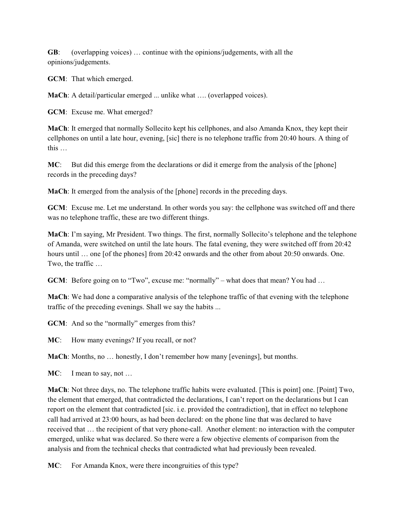**GB**: (overlapping voices) … continue with the opinions/judgements, with all the opinions/judgements.

**GCM**: That which emerged.

**MaCh**: A detail/particular emerged ... unlike what …. (overlapped voices).

**GCM**: Excuse me. What emerged?

**MaCh**: It emerged that normally Sollecito kept his cellphones, and also Amanda Knox, they kept their cellphones on until a late hour, evening, [sic] there is no telephone traffic from 20:40 hours. A thing of this …

**MC**: But did this emerge from the declarations or did it emerge from the analysis of the [phone] records in the preceding days?

**MaCh**: It emerged from the analysis of the [phone] records in the preceding days.

**GCM**: Excuse me. Let me understand. In other words you say: the cellphone was switched off and there was no telephone traffic, these are two different things.

**MaCh**: I'm saying, Mr President. Two things. The first, normally Sollecito's telephone and the telephone of Amanda, were switched on until the late hours. The fatal evening, they were switched off from 20:42 hours until ... one [of the phones] from 20:42 onwards and the other from about 20:50 onwards. One. Two, the traffic …

**GCM**: Before going on to "Two", excuse me: "normally" – what does that mean? You had ...

**MaCh**: We had done a comparative analysis of the telephone traffic of that evening with the telephone traffic of the preceding evenings. Shall we say the habits ...

**GCM**: And so the "normally" emerges from this?

**MC**: How many evenings? If you recall, or not?

**MaCh**: Months, no … honestly, I don't remember how many [evenings], but months.

**MC**: I mean to say, not ...

**MaCh**: Not three days, no. The telephone traffic habits were evaluated. [This is point] one. [Point] Two, the element that emerged, that contradicted the declarations, I can't report on the declarations but I can report on the element that contradicted [sic. i.e. provided the contradiction], that in effect no telephone call had arrived at 23:00 hours, as had been declared: on the phone line that was declared to have received that … the recipient of that very phone-call. Another element: no interaction with the computer emerged, unlike what was declared. So there were a few objective elements of comparison from the analysis and from the technical checks that contradicted what had previously been revealed.

**MC**: For Amanda Knox, were there incongruities of this type?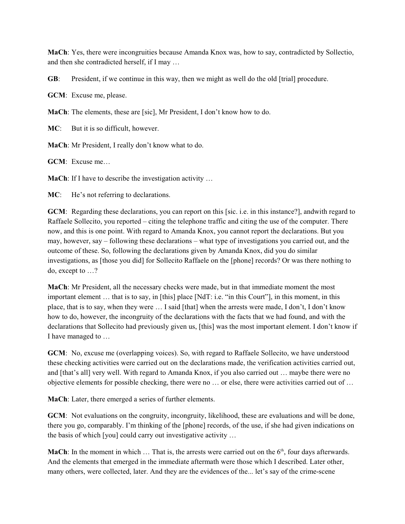**MaCh**: Yes, there were incongruities because Amanda Knox was, how to say, contradicted by Sollectio, and then she contradicted herself, if I may …

**GB**: President, if we continue in this way, then we might as well do the old [trial] procedure.

**GCM**: Excuse me, please.

**MaCh**: The elements, these are [sic], Mr President, I don't know how to do.

**MC**: But it is so difficult, however.

**MaCh**: Mr President, I really don't know what to do.

**GCM**: Excuse me…

**MaCh**: If I have to describe the investigation activity …

**MC**: He's not referring to declarations.

**GCM**: Regarding these declarations, you can report on this [sic. i.e. in this instance?], andwith regard to Raffaele Sollecito, you reported – citing the telephone traffic and citing the use of the computer. There now, and this is one point. With regard to Amanda Knox, you cannot report the declarations. But you may, however, say – following these declarations – what type of investigations you carried out, and the outcome of these. So, following the declarations given by Amanda Knox, did you do similar investigations, as [those you did] for Sollecito Raffaele on the [phone] records? Or was there nothing to do, except to …?

**MaCh**: Mr President, all the necessary checks were made, but in that immediate moment the most important element … that is to say, in [this] place [NdT: i.e. "in this Court"], in this moment, in this place, that is to say, when they were … I said [that] when the arrests were made, I don't, I don't know how to do, however, the incongruity of the declarations with the facts that we had found, and with the declarations that Sollecito had previously given us, [this] was the most important element. I don't know if I have managed to …

**GCM**: No, excuse me (overlapping voices). So, with regard to Raffaele Sollecito, we have understood these checking activities were carried out on the declarations made, the verification activities carried out, and [that's all] very well. With regard to Amanda Knox, if you also carried out … maybe there were no objective elements for possible checking, there were no … or else, there were activities carried out of …

**MaCh**: Later, there emerged a series of further elements.

**GCM**: Not evaluations on the congruity, incongruity, likelihood, these are evaluations and will be done, there you go, comparably. I'm thinking of the [phone] records, of the use, if she had given indications on the basis of which [you] could carry out investigative activity …

**MaCh**: In the moment in which  $\ldots$  That is, the arrests were carried out on the  $6<sup>th</sup>$ , four days afterwards. And the elements that emerged in the immediate aftermath were those which I described. Later other, many others, were collected, later. And they are the evidences of the... let's say of the crime-scene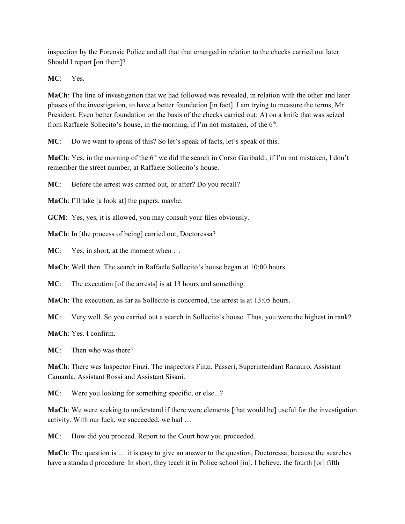inspection by the Forensic Police and all that that emerged in relation to the checks carried out later. Should I report [on them]?

**MC**: Yes.

**MaCh**: The line of investigation that we had followed was revealed, in relation with the other and later phases of the investigation, to have a better foundation [in fact]. I am trying to measure the terms, Mr President. Even better foundation on the basis of the checks carried out: A) on a knife that was seized from Raffaele Sollecito's house, in the morning, if I'm not mistaken, of the  $6<sup>th</sup>$ .

**MC**: Do we want to speak of this? So let's speak of facts, let's speak of this.

**MaCh**: Yes, in the morning of the 6<sup>th</sup> we did the search in Corso Garibaldi, if I'm not mistaken, I don't remember the street number, at Raffaele Sollecito's house.

**MC**: Before the arrest was carried out, or after? Do you recall?

**MaCh**: I'll take [a look at] the papers, maybe.

**GCM**: Yes, yes, it is allowed, you may consult your files obviously.

**MaCh**: In [the process of being] carried out, Doctoressa?

**MC**: Yes, in short, at the moment when …

**MaCh**: Well then. The search in Raffaele Sollecito's house began at 10:00 hours.

**MC**: The execution [of the arrests] is at 13 hours and something.

**MaCh**: The execution, as far as Sollecito is concerned, the arrest is at 13:05 hours.

**MC**: Very well. So you carried out a search in Sollecito's house. Thus, you were the highest in rank?

**MaCh**: Yes. I confirm.

**MC**: Then who was there?

**MaCh**: There was Inspector Finzi. The inspectors Finzi, Passeri, Superintendant Ranauro, Assistant Camarda, Assistant Rossi and Assistant Sisani.

**MC**: Were you looking for something specific, or else...?

**MaCh**: We were seeking to understand if there were elements [that would be] useful for the investigation activity. With our luck, we succeeded, we had …

**MC**: How did you proceed. Report to the Court how you proceeded.

**MaCh**: The question is … it is easy to give an answer to the question, Doctoressa, because the searches have a standard procedure. In short, they teach it in Police school [in], I believe, the fourth [or] fifth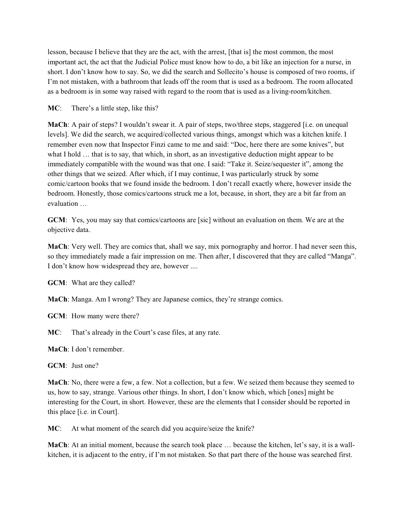lesson, because I believe that they are the act, with the arrest, [that is] the most common, the most important act, the act that the Judicial Police must know how to do, a bit like an injection for a nurse, in short. I don't know how to say. So, we did the search and Sollecito's house is composed of two rooms, if I'm not mistaken, with a bathroom that leads off the room that is used as a bedroom. The room allocated as a bedroom is in some way raised with regard to the room that is used as a living-room/kitchen.

### **MC**: There's a little step, like this?

**MaCh**: A pair of steps? I wouldn't swear it. A pair of steps, two/three steps, staggered [i.e. on unequal levels]. We did the search, we acquired/collected various things, amongst which was a kitchen knife. I remember even now that Inspector Finzi came to me and said: "Doc, here there are some knives", but what I hold … that is to say, that which, in short, as an investigative deduction might appear to be immediately compatible with the wound was that one. I said: "Take it. Seize/sequester it", among the other things that we seized. After which, if I may continue, I was particularly struck by some comic/cartoon books that we found inside the bedroom. I don't recall exactly where, however inside the bedroom. Honestly, those comics/cartoons struck me a lot, because, in short, they are a bit far from an evaluation …

**GCM**: Yes, you may say that comics/cartoons are [sic] without an evaluation on them. We are at the objective data.

**MaCh**: Very well. They are comics that, shall we say, mix pornography and horror. I had never seen this, so they immediately made a fair impression on me. Then after, I discovered that they are called "Manga". I don't know how widespread they are, however ....

**GCM**: What are they called?

**MaCh**: Manga. Am I wrong? They are Japanese comics, they're strange comics.

**GCM**: How many were there?

**MC**: That's already in the Court's case files, at any rate.

**MaCh**: I don't remember.

**GCM**: Just one?

**MaCh**: No, there were a few, a few. Not a collection, but a few. We seized them because they seemed to us, how to say, strange. Various other things. In short, I don't know which, which [ones] might be interesting for the Court, in short. However, these are the elements that I consider should be reported in this place [i.e. in Court].

**MC**: At what moment of the search did you acquire/seize the knife?

**MaCh**: At an initial moment, because the search took place ... because the kitchen, let's say, it is a wallkitchen, it is adjacent to the entry, if I'm not mistaken. So that part there of the house was searched first.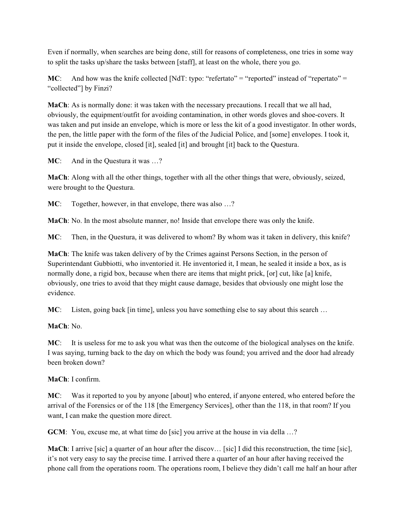Even if normally, when searches are being done, still for reasons of completeness, one tries in some way to split the tasks up/share the tasks between [staff], at least on the whole, there you go.

**MC**: And how was the knife collected [NdT: typo: "refertato" = "reported" instead of "repertato" = "collected"] by Finzi?

**MaCh**: As is normally done: it was taken with the necessary precautions. I recall that we all had, obviously, the equipment/outfit for avoiding contamination, in other words gloves and shoe-covers. It was taken and put inside an envelope, which is more or less the kit of a good investigator. In other words, the pen, the little paper with the form of the files of the Judicial Police, and [some] envelopes. I took it, put it inside the envelope, closed [it], sealed [it] and brought [it] back to the Questura.

**MC:** And in the Questura it was ...?

**MaCh**: Along with all the other things, together with all the other things that were, obviously, seized, were brought to the Questura.

**MC**: Together, however, in that envelope, there was also ...?

**MaCh**: No. In the most absolute manner, no! Inside that envelope there was only the knife.

**MC**: Then, in the Questura, it was delivered to whom? By whom was it taken in delivery, this knife?

**MaCh**: The knife was taken delivery of by the Crimes against Persons Section, in the person of Superintendant Gubbiotti, who inventoried it. He inventoried it, I mean, he sealed it inside a box, as is normally done, a rigid box, because when there are items that might prick, [or] cut, like [a] knife, obviously, one tries to avoid that they might cause damage, besides that obviously one might lose the evidence.

**MC**: Listen, going back [in time], unless you have something else to say about this search ...

**MaCh**: No.

**MC**: It is useless for me to ask you what was then the outcome of the biological analyses on the knife. I was saying, turning back to the day on which the body was found; you arrived and the door had already been broken down?

### **MaCh**: I confirm.

**MC**: Was it reported to you by anyone [about] who entered, if anyone entered, who entered before the arrival of the Forensics or of the 118 [the Emergency Services], other than the 118, in that room? If you want, I can make the question more direct.

**GCM**: You, excuse me, at what time do [sic] you arrive at the house in via della …?

**MaCh**: I arrive [sic] a quarter of an hour after the discov… [sic] I did this reconstruction, the time [sic], it's not very easy to say the precise time. I arrived there a quarter of an hour after having received the phone call from the operations room. The operations room, I believe they didn't call me half an hour after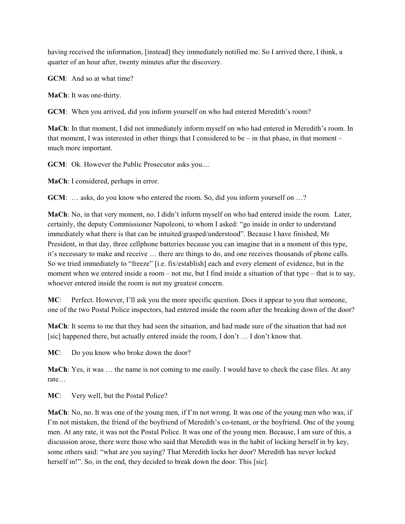having received the information, [instead] they immediately notified me. So I arrived there, I think, a quarter of an hour after, twenty minutes after the discovery.

**GCM**: And so at what time?

**MaCh**: It was one-thirty.

**GCM**: When you arrived, did you inform yourself on who had entered Meredith's room?

**MaCh**: In that moment, I did not immediately inform myself on who had entered in Meredith's room. In that moment, I was interested in other things that I considered to be – in that phase, in that moment – much more important.

**GCM**: Ok. However the Public Prosecutor asks you....

**MaCh**: I considered, perhaps in error.

**GCM**: ... asks, do you know who entered the room. So, did you inform yourself on ...?

**MaCh**: No, in that very moment, no. I didn't inform myself on who had entered inside the room. Later, certainly, the deputy Commissioner Napoleoni, to whom I asked: "go inside in order to understand immediately what there is that can be intuited/grasped/understood". Because I have finished, Mr President, in that day, three cellphone batteries because you can imagine that in a moment of this type, it's necessary to make and receive … there are things to do, and one receives thousands of phone calls. So we tried immediately to "freeze" [i.e. fix/establish] each and every element of evidence, but in the moment when we entered inside a room – not me, but I find inside a situation of that type – that is to say, whoever entered inside the room is not my greatest concern.

**MC**: Perfect. However, I'll ask you the more specific question. Does it appear to you that someone, one of the two Postal Police inspectors, had entered inside the room after the breaking down of the door?

**MaCh**: It seems to me that they had seen the situation, and had made sure of the situation that had not [sic] happened there, but actually entered inside the room, I don't … I don't know that.

**MC**: Do you know who broke down the door?

**MaCh**: Yes, it was … the name is not coming to me easily. I would have to check the case files. At any rate…

**MC**: Very well, but the Postal Police?

**MaCh**: No, no. It was one of the young men, if I'm not wrong. It was one of the young men who was, if I'm not mistaken, the friend of the boyfriend of Meredith's co-tenant, or the boyfriend. One of the young men. At any rate, it was not the Postal Police. It was one of the young men. Because, I am sure of this, a discussion arose, there were those who said that Meredith was in the habit of locking herself in by key, some others said: "what are you saying? That Meredith locks her door? Meredith has never locked herself in!". So, in the end, they decided to break down the door. This [sic].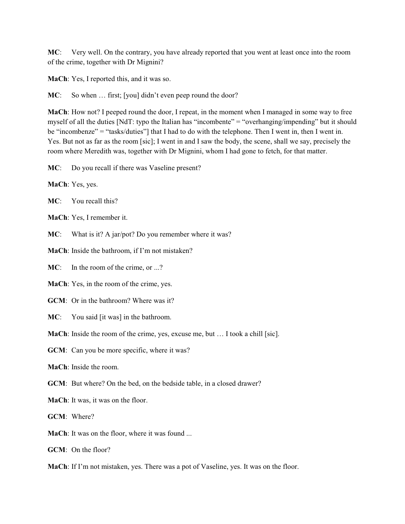**MC**: Very well. On the contrary, you have already reported that you went at least once into the room of the crime, together with Dr Mignini?

**MaCh**: Yes, I reported this, and it was so.

**MC**: So when ... first; [you] didn't even peep round the door?

**MaCh**: How not? I peeped round the door, I repeat, in the moment when I managed in some way to free myself of all the duties [NdT: typo the Italian has "incombente" = "overhanging/impending" but it should be "incombenze" = "tasks/duties"] that I had to do with the telephone. Then I went in, then I went in. Yes. But not as far as the room [sic]; I went in and I saw the body, the scene, shall we say, precisely the room where Meredith was, together with Dr Mignini, whom I had gone to fetch, for that matter.

**MC**: Do you recall if there was Vaseline present?

**MaCh**: Yes, yes.

**MC**: You recall this?

**MaCh**: Yes, I remember it.

**MC**: What is it? A jar/pot? Do you remember where it was?

**MaCh**: Inside the bathroom, if I'm not mistaken?

**MC**: In the room of the crime, or ...?

**MaCh**: Yes, in the room of the crime, yes.

**GCM**: Or in the bathroom? Where was it?

**MC**: You said [it was] in the bathroom.

**MaCh**: Inside the room of the crime, yes, excuse me, but … I took a chill [sic].

**GCM**: Can you be more specific, where it was?

**MaCh**: Inside the room.

**GCM**: But where? On the bed, on the bedside table, in a closed drawer?

**MaCh**: It was, it was on the floor.

**GCM**: Where?

**MaCh**: It was on the floor, where it was found ...

**GCM**: On the floor?

**MaCh**: If I'm not mistaken, yes. There was a pot of Vaseline, yes. It was on the floor.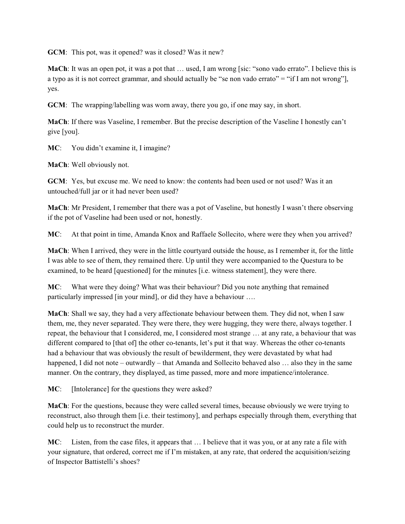**GCM**: This pot, was it opened? was it closed? Was it new?

**MaCh**: It was an open pot, it was a pot that … used, I am wrong [sic: "sono vado errato". I believe this is a typo as it is not correct grammar, and should actually be "se non vado errato" = "if I am not wrong"], yes.

**GCM**: The wrapping/labelling was worn away, there you go, if one may say, in short.

**MaCh**: If there was Vaseline, I remember. But the precise description of the Vaseline I honestly can't give [you].

**MC**: You didn't examine it, I imagine?

**MaCh**: Well obviously not.

**GCM**: Yes, but excuse me. We need to know: the contents had been used or not used? Was it an untouched/full jar or it had never been used?

**MaCh**: Mr President, I remember that there was a pot of Vaseline, but honestly I wasn't there observing if the pot of Vaseline had been used or not, honestly.

**MC**: At that point in time, Amanda Knox and Raffaele Sollecito, where were they when you arrived?

**MaCh**: When I arrived, they were in the little courtyard outside the house, as I remember it, for the little I was able to see of them, they remained there. Up until they were accompanied to the Questura to be examined, to be heard [questioned] for the minutes [i.e. witness statement], they were there.

**MC**: What were they doing? What was their behaviour? Did you note anything that remained particularly impressed [in your mind], or did they have a behaviour ….

**MaCh**: Shall we say, they had a very affectionate behaviour between them. They did not, when I saw them, me, they never separated. They were there, they were hugging, they were there, always together. I repeat, the behaviour that I considered, me, I considered most strange … at any rate, a behaviour that was different compared to [that of] the other co-tenants, let's put it that way. Whereas the other co-tenants had a behaviour that was obviously the result of bewilderment, they were devastated by what had happened, I did not note – outwardly – that Amanda and Sollecito behaved also ... also they in the same manner. On the contrary, they displayed, as time passed, more and more impatience/intolerance.

**MC**: [Intolerance] for the questions they were asked?

**MaCh**: For the questions, because they were called several times, because obviously we were trying to reconstruct, also through them [i.e. their testimony], and perhaps especially through them, everything that could help us to reconstruct the murder.

**MC**: Listen, from the case files, it appears that … I believe that it was you, or at any rate a file with your signature, that ordered, correct me if I'm mistaken, at any rate, that ordered the acquisition/seizing of Inspector Battistelli's shoes?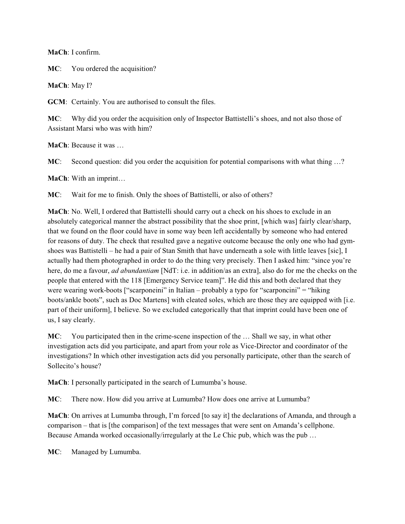**MaCh**: I confirm.

**MC**: You ordered the acquisition?

**MaCh**: May I?

**GCM**: Certainly. You are authorised to consult the files.

**MC**: Why did you order the acquisition only of Inspector Battistelli's shoes, and not also those of Assistant Marsi who was with him?

**MaCh**: Because it was …

**MC**: Second question: did you order the acquisition for potential comparisons with what thing ...?

**MaCh**: With an imprint…

**MC**: Wait for me to finish. Only the shoes of Battistelli, or also of others?

**MaCh**: No. Well, I ordered that Battistelli should carry out a check on his shoes to exclude in an absolutely categorical manner the abstract possibility that the shoe print, [which was] fairly clear/sharp, that we found on the floor could have in some way been left accidentally by someone who had entered for reasons of duty. The check that resulted gave a negative outcome because the only one who had gymshoes was Battistelli – he had a pair of Stan Smith that have underneath a sole with little leaves [sic], I actually had them photographed in order to do the thing very precisely. Then I asked him: "since you're here, do me a favour, *ad abundantiam* [NdT: i.e. in addition/as an extra], also do for me the checks on the people that entered with the 118 [Emergency Service team]". He did this and both declared that they were wearing work-boots ["scarponeini" in Italian – probably a typo for "scarponcini" = "hiking boots/ankle boots", such as Doc Martens] with cleated soles, which are those they are equipped with [i.e. part of their uniform], I believe. So we excluded categorically that that imprint could have been one of us, I say clearly.

**MC**: You participated then in the crime-scene inspection of the … Shall we say, in what other investigation acts did you participate, and apart from your role as Vice-Director and coordinator of the investigations? In which other investigation acts did you personally participate, other than the search of Sollecito's house?

**MaCh**: I personally participated in the search of Lumumba's house.

**MC**: There now. How did you arrive at Lumumba? How does one arrive at Lumumba?

**MaCh**: On arrives at Lumumba through, I'm forced [to say it] the declarations of Amanda, and through a comparison – that is [the comparison] of the text messages that were sent on Amanda's cellphone. Because Amanda worked occasionally/irregularly at the Le Chic pub, which was the pub …

**MC**: Managed by Lumumba.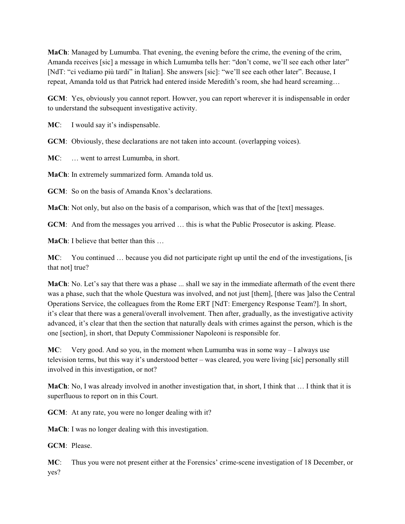**MaCh**: Managed by Lumumba. That evening, the evening before the crime, the evening of the crim, Amanda receives [sic] a message in which Lumumba tells her: "don't come, we'll see each other later" [NdT: "ci vediamo più tardi" in Italian]. She answers [sic]: "we'll see each other later". Because, I repeat, Amanda told us that Patrick had entered inside Meredith's room, she had heard screaming…

**GCM**: Yes, obviously you cannot report. Howver, you can report wherever it is indispensable in order to understand the subsequent investigative activity.

MC: I would say it's indispensable.

**GCM**: Obviously, these declarations are not taken into account. (overlapping voices).

**MC**: … went to arrest Lumumba, in short.

**MaCh**: In extremely summarized form. Amanda told us.

**GCM**: So on the basis of Amanda Knox's declarations.

**MaCh**: Not only, but also on the basis of a comparison, which was that of the [text] messages.

**GCM**: And from the messages you arrived … this is what the Public Prosecutor is asking. Please.

**MaCh**: I believe that better than this …

**MC**: You continued … because you did not participate right up until the end of the investigations, [is that not] true?

**MaCh**: No. Let's say that there was a phase ... shall we say in the immediate aftermath of the event there was a phase, such that the whole Questura was involved, and not just [them], [there was ]also the Central Operations Service, the colleagues from the Rome ERT [NdT: Emergency Response Team?]. In short, it's clear that there was a general/overall involvement. Then after, gradually, as the investigative activity advanced, it's clear that then the section that naturally deals with crimes against the person, which is the one [section], in short, that Deputy Commissioner Napoleoni is responsible for.

**MC**: Very good. And so you, in the moment when Lumumba was in some way – I always use television terms, but this way it's understood better – was cleared, you were living [sic] personally still involved in this investigation, or not?

**MaCh**: No, I was already involved in another investigation that, in short, I think that … I think that it is superfluous to report on in this Court.

**GCM**: At any rate, you were no longer dealing with it?

**MaCh**: I was no longer dealing with this investigation.

**GCM**: Please.

**MC**: Thus you were not present either at the Forensics' crime-scene investigation of 18 December, or yes?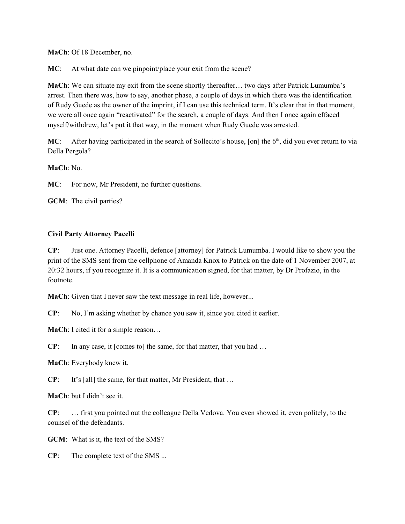**MaCh**: Of 18 December, no.

**MC**: At what date can we pinpoint/place your exit from the scene?

**MaCh**: We can situate my exit from the scene shortly thereafter… two days after Patrick Lumumba's arrest. Then there was, how to say, another phase, a couple of days in which there was the identification of Rudy Guede as the owner of the imprint, if I can use this technical term. It's clear that in that moment, we were all once again "reactivated" for the search, a couple of days. And then I once again effaced myself/withdrew, let's put it that way, in the moment when Rudy Guede was arrested.

MC: After having participated in the search of Sollecito's house, [on] the 6<sup>th</sup>, did you ever return to via Della Pergola?

**MaCh**: No.

**MC**: For now, Mr President, no further questions.

**GCM**: The civil parties?

### **Civil Party Attorney Pacelli**

**CP**: Just one. Attorney Pacelli, defence [attorney] for Patrick Lumumba. I would like to show you the print of the SMS sent from the cellphone of Amanda Knox to Patrick on the date of 1 November 2007, at 20:32 hours, if you recognize it. It is a communication signed, for that matter, by Dr Profazio, in the footnote.

**MaCh**: Given that I never saw the text message in real life, however...

**CP**: No, I'm asking whether by chance you saw it, since you cited it earlier.

**MaCh**: I cited it for a simple reason…

**CP:** In any case, it [comes to] the same, for that matter, that you had ...

**MaCh**: Everybody knew it.

**CP**: It's [all] the same, for that matter, Mr President, that …

**MaCh**: but I didn't see it.

**CP**: … first you pointed out the colleague Della Vedova. You even showed it, even politely, to the counsel of the defendants.

**GCM**: What is it, the text of the SMS?

**CP**: The complete text of the SMS ...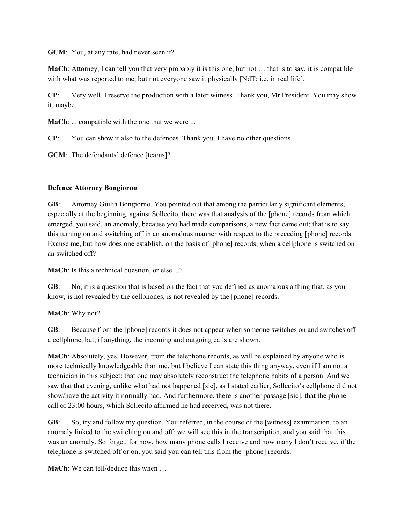**GCM**: You, at any rate, had never seen it?

**MaCh**: Attorney, I can tell you that very probably it is this one, but not … that is to say, it is compatible with what was reported to me, but not everyone saw it physically [NdT: i.e. in real life].

**CP**: Very well. I reserve the production with a later witness. Thank you, Mr President. You may show it, maybe.

**MaCh:** ... compatible with the one that we were ...

**CP**: You can show it also to the defences. Thank you. I have no other questions.

**GCM**: The defendants' defence [teams]?

# **Defence Attorney Bongiorno**

**GB**: Attorney Giulia Bongiorno. You pointed out that among the particularly significant elements, especially at the beginning, against Sollecito, there was that analysis of the [phone] records from which emerged, you said, an anomaly, because you had made comparisons, a new fact came out; that is to say this turning on and switching off in an anomalous manner with respect to the preceding [phone] records. Excuse me, but how does one establish, on the basis of [phone] records, when a cellphone is switched on an switched off?

**MaCh**: Is this a technical question, or else ...?

**GB**: No, it is a question that is based on the fact that you defined as anomalous a thing that, as you know, is not revealed by the cellphones, is not revealed by the [phone] records.

# **MaCh**: Why not?

**GB**: Because from the [phone] records it does not appear when someone switches on and switches off a cellphone, but, if anything, the incoming and outgoing calls are shown.

**MaCh**: Absolutely, yes. However, from the telephone records, as will be explained by anyone who is more technically knowledgeable than me, but I believe I can state this thing anyway, even if I am not a technician in this subject: that one may absolutely reconstruct the telephone habits of a person. And we saw that that evening, unlike what had not happened [sic], as I stated earlier, Sollecito's cellphone did not show/have the activity it normally had. And furthermore, there is another passage [sic], that the phone call of 23:00 hours, which Sollecito affirmed he had received, was not there.

**GB**: So, try and follow my question. You referred, in the course of the [witness] examination, to an anomaly linked to the switching on and off: we will see this in the transcription, and you said that this was an anomaly. So forget, for now, how many phone calls I receive and how many I don't receive, if the telephone is switched off or on, you said you can tell this from the [phone] records.

**MaCh:** We can tell/deduce this when ...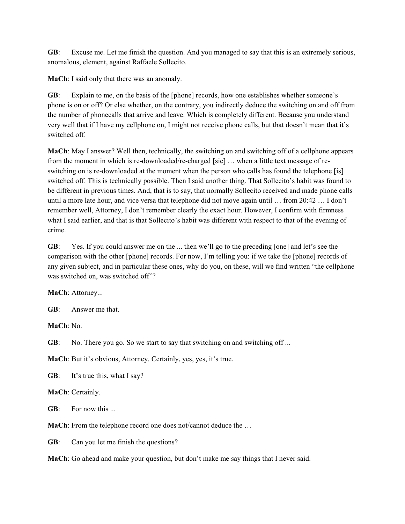**GB**: Excuse me. Let me finish the question. And you managed to say that this is an extremely serious, anomalous, element, against Raffaele Sollecito.

**MaCh**: I said only that there was an anomaly.

**GB**: Explain to me, on the basis of the [phone] records, how one establishes whether someone's phone is on or off? Or else whether, on the contrary, you indirectly deduce the switching on and off from the number of phonecalls that arrive and leave. Which is completely different. Because you understand very well that if I have my cellphone on, I might not receive phone calls, but that doesn't mean that it's switched off.

**MaCh**: May I answer? Well then, technically, the switching on and switching off of a cellphone appears from the moment in which is re-downloaded/re-charged [sic] … when a little text message of reswitching on is re-downloaded at the moment when the person who calls has found the telephone [is] switched off. This is technically possible. Then I said another thing. That Sollecito's habit was found to be different in previous times. And, that is to say, that normally Sollecito received and made phone calls until a more late hour, and vice versa that telephone did not move again until … from 20:42 … I don't remember well, Attorney, I don't remember clearly the exact hour. However, I confirm with firmness what I said earlier, and that is that Sollecito's habit was different with respect to that of the evening of crime.

**GB**: Yes. If you could answer me on the ... then we'll go to the preceding [one] and let's see the comparison with the other [phone] records. For now, I'm telling you: if we take the [phone] records of any given subject, and in particular these ones, why do you, on these, will we find written "the cellphone was switched on, was switched off"?

**MaCh**: Attorney...

**GB**: Answer me that.

**MaCh**: No.

**GB:** No. There you go. So we start to say that switching on and switching off...

**MaCh**: But it's obvious, Attorney. Certainly, yes, yes, it's true.

**GB:** It's true this, what I say?

**MaCh**: Certainly.

**GB**: For now this ...

**MaCh**: From the telephone record one does not/cannot deduce the …

**GB**: Can you let me finish the questions?

**MaCh**: Go ahead and make your question, but don't make me say things that I never said.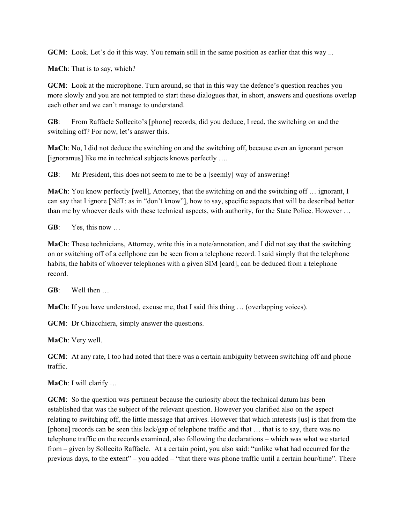**GCM**: Look. Let's do it this way. You remain still in the same position as earlier that this way ...

**MaCh**: That is to say, which?

**GCM**: Look at the microphone. Turn around, so that in this way the defence's question reaches you more slowly and you are not tempted to start these dialogues that, in short, answers and questions overlap each other and we can't manage to understand.

**GB**: From Raffaele Sollecito's [phone] records, did you deduce, I read, the switching on and the switching off? For now, let's answer this.

**MaCh**: No, I did not deduce the switching on and the switching off, because even an ignorant person [ignoramus] like me in technical subjects knows perfectly ….

**GB**: Mr President, this does not seem to me to be a [seemly] way of answering!

**MaCh**: You know perfectly [well], Attorney, that the switching on and the switching off ... ignorant, I can say that I ignore [NdT: as in "don't know"], how to say, specific aspects that will be described better than me by whoever deals with these technical aspects, with authority, for the State Police. However …

**GB**: Yes, this now …

**MaCh**: These technicians, Attorney, write this in a note/annotation, and I did not say that the switching on or switching off of a cellphone can be seen from a telephone record. I said simply that the telephone habits, the habits of whoever telephones with a given SIM [card], can be deduced from a telephone record.

**GB**: Well then …

**MaCh**: If you have understood, excuse me, that I said this thing … (overlapping voices).

**GCM**: Dr Chiacchiera, simply answer the questions.

**MaCh**: Very well.

**GCM**: At any rate, I too had noted that there was a certain ambiguity between switching off and phone traffic.

**MaCh**: I will clarify …

**GCM**: So the question was pertinent because the curiosity about the technical datum has been established that was the subject of the relevant question. However you clarified also on the aspect relating to switching off, the little message that arrives. However that which interests [us] is that from the [phone] records can be seen this lack/gap of telephone traffic and that … that is to say, there was no telephone traffic on the records examined, also following the declarations – which was what we started from – given by Sollecito Raffaele. At a certain point, you also said: "unlike what had occurred for the previous days, to the extent" – you added – "that there was phone traffic until a certain hour/time". There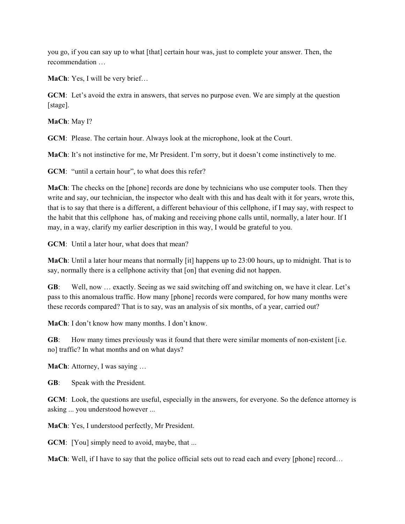you go, if you can say up to what [that] certain hour was, just to complete your answer. Then, the recommendation …

**MaCh**: Yes, I will be very brief…

**GCM**: Let's avoid the extra in answers, that serves no purpose even. We are simply at the question [stage].

**MaCh**: May I?

**GCM**: Please. The certain hour. Always look at the microphone, look at the Court.

**MaCh**: It's not instinctive for me, Mr President. I'm sorry, but it doesn't come instinctively to me.

**GCM**: "until a certain hour", to what does this refer?

**MaCh**: The checks on the [phone] records are done by technicians who use computer tools. Then they write and say, our technician, the inspector who dealt with this and has dealt with it for years, wrote this, that is to say that there is a different, a different behaviour of this cellphone, if I may say, with respect to the habit that this cellphone has, of making and receiving phone calls until, normally, a later hour. If I may, in a way, clarify my earlier description in this way, I would be grateful to you.

**GCM**: Until a later hour, what does that mean?

**MaCh**: Until a later hour means that normally [it] happens up to 23:00 hours, up to midnight. That is to say, normally there is a cellphone activity that  $[on]$  that evening did not happen.

**GB**: Well, now … exactly. Seeing as we said switching off and switching on, we have it clear. Let's pass to this anomalous traffic. How many [phone] records were compared, for how many months were these records compared? That is to say, was an analysis of six months, of a year, carried out?

**MaCh**: I don't know how many months. I don't know.

**GB:** How many times previously was it found that there were similar moments of non-existent [i.e. no] traffic? In what months and on what days?

**MaCh**: Attorney, I was saying …

**GB**: Speak with the President.

**GCM**: Look, the questions are useful, especially in the answers, for everyone. So the defence attorney is asking ... you understood however ...

**MaCh**: Yes, I understood perfectly, Mr President.

**GCM**: [You] simply need to avoid, maybe, that ...

**MaCh**: Well, if I have to say that the police official sets out to read each and every [phone] record...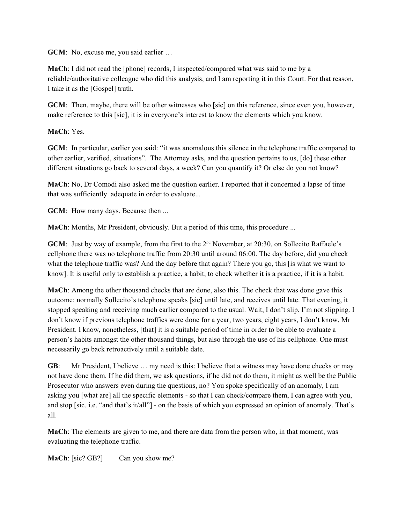**GCM**: No, excuse me, you said earlier …

**MaCh**: I did not read the [phone] records, I inspected/compared what was said to me by a reliable/authoritative colleague who did this analysis, and I am reporting it in this Court. For that reason, I take it as the [Gospel] truth.

**GCM**: Then, maybe, there will be other witnesses who [sic] on this reference, since even you, however, make reference to this [sic], it is in everyone's interest to know the elements which you know.

**MaCh**: Yes.

**GCM**: In particular, earlier you said: "it was anomalous this silence in the telephone traffic compared to other earlier, verified, situations". The Attorney asks, and the question pertains to us, [do] these other different situations go back to several days, a week? Can you quantify it? Or else do you not know?

**MaCh**: No, Dr Comodi also asked me the question earlier. I reported that it concerned a lapse of time that was sufficiently adequate in order to evaluate...

**GCM**: How many days. Because then ...

**MaCh**: Months, Mr President, obviously. But a period of this time, this procedure ...

**GCM**: Just by way of example, from the first to the  $2<sup>nd</sup>$  November, at 20:30, on Sollecito Raffaele's cellphone there was no telephone traffic from 20:30 until around 06:00. The day before, did you check what the telephone traffic was? And the day before that again? There you go, this [is what we want to know]. It is useful only to establish a practice, a habit, to check whether it is a practice, if it is a habit.

**MaCh**: Among the other thousand checks that are done, also this. The check that was done gave this outcome: normally Sollecito's telephone speaks [sic] until late, and receives until late. That evening, it stopped speaking and receiving much earlier compared to the usual. Wait, I don't slip, I'm not slipping. I don't know if previous telephone traffics were done for a year, two years, eight years, I don't know, Mr President. I know, nonetheless, [that] it is a suitable period of time in order to be able to evaluate a person's habits amongst the other thousand things, but also through the use of his cellphone. One must necessarily go back retroactively until a suitable date.

**GB:** Mr President, I believe ... my need is this: I believe that a witness may have done checks or may not have done them. If he did them, we ask questions, if he did not do them, it might as well be the Public Prosecutor who answers even during the questions, no? You spoke specifically of an anomaly, I am asking you [what are] all the specific elements - so that I can check/compare them, I can agree with you, and stop [sic. i.e. "and that's it/all"] - on the basis of which you expressed an opinion of anomaly. That's all.

**MaCh**: The elements are given to me, and there are data from the person who, in that moment, was evaluating the telephone traffic.

**MaCh:** [sic? GB?] Can you show me?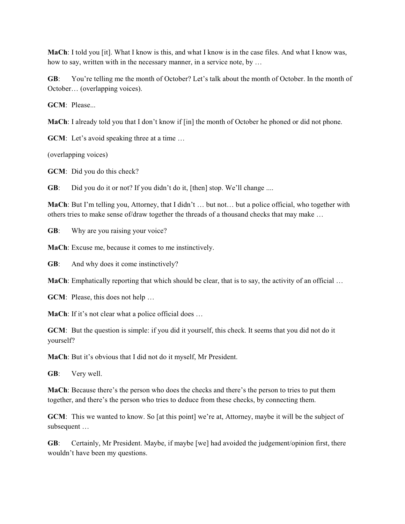**MaCh**: I told you [it]. What I know is this, and what I know is in the case files. And what I know was, how to say, written with in the necessary manner, in a service note, by …

**GB**: You're telling me the month of October? Let's talk about the month of October. In the month of October… (overlapping voices).

**GCM**: Please...

**MaCh**: I already told you that I don't know if [in] the month of October he phoned or did not phone.

**GCM**: Let's avoid speaking three at a time ...

(overlapping voices)

**GCM**: Did you do this check?

**GB:** Did you do it or not? If you didn't do it, [then] stop. We'll change ....

**MaCh**: But I'm telling you, Attorney, that I didn't … but not… but a police official, who together with others tries to make sense of/draw together the threads of a thousand checks that may make …

**GB**: Why are you raising your voice?

**MaCh**: Excuse me, because it comes to me instinctively.

**GB**: And why does it come instinctively?

**MaCh**: Emphatically reporting that which should be clear, that is to say, the activity of an official ...

**GCM**: Please, this does not help …

**MaCh**: If it's not clear what a police official does ...

**GCM**: But the question is simple: if you did it yourself, this check. It seems that you did not do it yourself?

**MaCh**: But it's obvious that I did not do it myself, Mr President.

**GB**: Very well.

**MaCh**: Because there's the person who does the checks and there's the person to tries to put them together, and there's the person who tries to deduce from these checks, by connecting them.

**GCM**: This we wanted to know. So [at this point] we're at, Attorney, maybe it will be the subject of subsequent …

**GB**: Certainly, Mr President. Maybe, if maybe [we] had avoided the judgement/opinion first, there wouldn't have been my questions.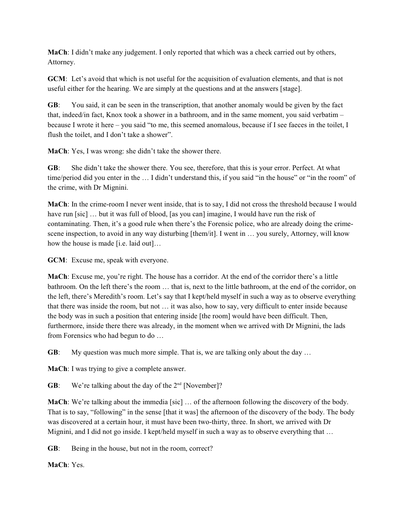**MaCh**: I didn't make any judgement. I only reported that which was a check carried out by others, Attorney.

**GCM**: Let's avoid that which is not useful for the acquisition of evaluation elements, and that is not useful either for the hearing. We are simply at the questions and at the answers [stage].

**GB**: You said, it can be seen in the transcription, that another anomaly would be given by the fact that, indeed/in fact, Knox took a shower in a bathroom, and in the same moment, you said verbatim – because I wrote it here – you said "to me, this seemed anomalous, because if I see faeces in the toilet, I flush the toilet, and I don't take a shower".

**MaCh**: Yes, I was wrong: she didn't take the shower there.

**GB**: She didn't take the shower there. You see, therefore, that this is your error. Perfect. At what time/period did you enter in the … I didn't understand this, if you said "in the house" or "in the room" of the crime, with Dr Mignini.

**MaCh**: In the crime-room I never went inside, that is to say, I did not cross the threshold because I would have run [sic] ... but it was full of blood, [as you can] imagine, I would have run the risk of contaminating. Then, it's a good rule when there's the Forensic police, who are already doing the crimescene inspection, to avoid in any way disturbing [them/it]. I went in … you surely, Attorney, will know how the house is made [i.e. laid out]…

**GCM**: Excuse me, speak with everyone.

**MaCh**: Excuse me, you're right. The house has a corridor. At the end of the corridor there's a little bathroom. On the left there's the room … that is, next to the little bathroom, at the end of the corridor, on the left, there's Meredith's room. Let's say that I kept/held myself in such a way as to observe everything that there was inside the room, but not … it was also, how to say, very difficult to enter inside because the body was in such a position that entering inside [the room] would have been difficult. Then, furthermore, inside there there was already, in the moment when we arrived with Dr Mignini, the lads from Forensics who had begun to do …

**GB:** My question was much more simple. That is, we are talking only about the day ...

**MaCh**: I was trying to give a complete answer.

**GB:** We're talking about the day of the  $2<sup>nd</sup>$  [November]?

**MaCh**: We're talking about the immedia [sic] ... of the afternoon following the discovery of the body. That is to say, "following" in the sense [that it was] the afternoon of the discovery of the body. The body was discovered at a certain hour, it must have been two-thirty, three. In short, we arrived with Dr Mignini, and I did not go inside. I kept/held myself in such a way as to observe everything that …

**GB**: Being in the house, but not in the room, correct?

**MaCh**: Yes.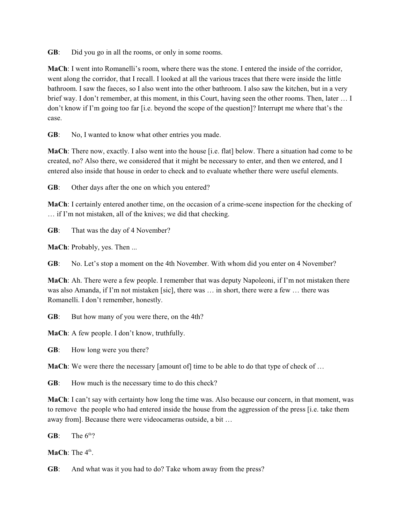**GB**: Did you go in all the rooms, or only in some rooms.

**MaCh**: I went into Romanelli's room, where there was the stone. I entered the inside of the corridor, went along the corridor, that I recall. I looked at all the various traces that there were inside the little bathroom. I saw the faeces, so I also went into the other bathroom. I also saw the kitchen, but in a very brief way. I don't remember, at this moment, in this Court, having seen the other rooms. Then, later … I don't know if I'm going too far [i.e. beyond the scope of the question]? Interrupt me where that's the case.

**GB**: No, I wanted to know what other entries you made.

**MaCh**: There now, exactly. I also went into the house [i.e. flat] below. There a situation had come to be created, no? Also there, we considered that it might be necessary to enter, and then we entered, and I entered also inside that house in order to check and to evaluate whether there were useful elements.

**GB**: Other days after the one on which you entered?

**MaCh**: I certainly entered another time, on the occasion of a crime-scene inspection for the checking of … if I'm not mistaken, all of the knives; we did that checking.

**GB**: That was the day of 4 November?

**MaCh**: Probably, yes. Then ...

**GB**: No. Let's stop a moment on the 4th November. With whom did you enter on 4 November?

**MaCh**: Ah. There were a few people. I remember that was deputy Napoleoni, if I'm not mistaken there was also Amanda, if I'm not mistaken [sic], there was … in short, there were a few … there was Romanelli. I don't remember, honestly.

**GB:** But how many of you were there, on the 4th?

**MaCh**: A few people. I don't know, truthfully.

**GB**: How long were you there?

**MaCh**: We were there the necessary [amount of] time to be able to do that type of check of ...

**GB**: How much is the necessary time to do this check?

**MaCh**: I can't say with certainty how long the time was. Also because our concern, in that moment, was to remove the people who had entered inside the house from the aggression of the press [i.e. take them away from]. Because there were videocameras outside, a bit …

**GB**: The  $6<sup>th</sup>$ ?

**MaCh**: The  $4<sup>th</sup>$ .

**GB**: And what was it you had to do? Take whom away from the press?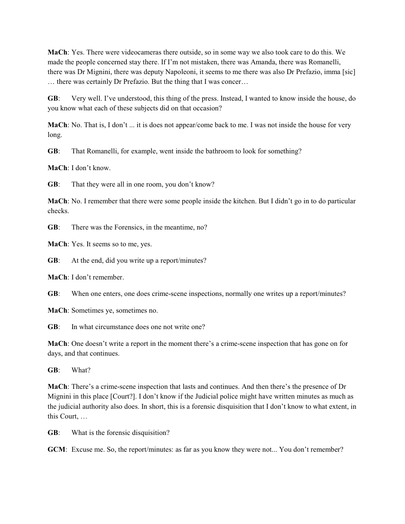**MaCh**: Yes. There were videocameras there outside, so in some way we also took care to do this. We made the people concerned stay there. If I'm not mistaken, there was Amanda, there was Romanelli, there was Dr Mignini, there was deputy Napoleoni, it seems to me there was also Dr Prefazio, imma [sic] … there was certainly Dr Prefazio. But the thing that I was concer…

**GB**: Very well. I've understood, this thing of the press. Instead, I wanted to know inside the house, do you know what each of these subjects did on that occasion?

**MaCh**: No. That is, I don't ... it is does not appear/come back to me. I was not inside the house for very long.

**GB**: That Romanelli, for example, went inside the bathroom to look for something?

**MaCh**: I don't know.

**GB**: That they were all in one room, you don't know?

**MaCh**: No. I remember that there were some people inside the kitchen. But I didn't go in to do particular checks.

**GB**: There was the Forensics, in the meantime, no?

**MaCh**: Yes. It seems so to me, yes.

**GB**: At the end, did you write up a report/minutes?

**MaCh**: I don't remember.

**GB**: When one enters, one does crime-scene inspections, normally one writes up a report/minutes?

**MaCh**: Sometimes ye, sometimes no.

**GB:** In what circumstance does one not write one?

**MaCh**: One doesn't write a report in the moment there's a crime-scene inspection that has gone on for days, and that continues.

**GB**: What?

**MaCh**: There's a crime-scene inspection that lasts and continues. And then there's the presence of Dr Mignini in this place [Court?]. I don't know if the Judicial police might have written minutes as much as the judicial authority also does. In short, this is a forensic disquisition that I don't know to what extent, in this Court, …

**GB**: What is the forensic disquisition?

**GCM**: Excuse me. So, the report/minutes: as far as you know they were not... You don't remember?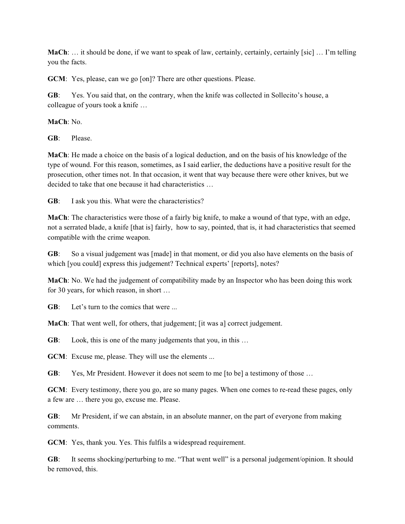**MaCh**: ... it should be done, if we want to speak of law, certainly, certainly, certainly [sic] ... I'm telling you the facts.

**GCM**: Yes, please, can we go [on]? There are other questions. Please.

**GB**: Yes. You said that, on the contrary, when the knife was collected in Sollecito's house, a colleague of yours took a knife …

**MaCh**: No.

**GB**: Please.

**MaCh**: He made a choice on the basis of a logical deduction, and on the basis of his knowledge of the type of wound. For this reason, sometimes, as I said earlier, the deductions have a positive result for the prosecution, other times not. In that occasion, it went that way because there were other knives, but we decided to take that one because it had characteristics …

**GB**: I ask you this. What were the characteristics?

**MaCh**: The characteristics were those of a fairly big knife, to make a wound of that type, with an edge, not a serrated blade, a knife [that is] fairly, how to say, pointed, that is, it had characteristics that seemed compatible with the crime weapon.

**GB**: So a visual judgement was [made] in that moment, or did you also have elements on the basis of which [you could] express this judgement? Technical experts' [reports], notes?

**MaCh**: No. We had the judgement of compatibility made by an Inspector who has been doing this work for 30 years, for which reason, in short …

**GB:** Let's turn to the comics that were ...

**MaCh**: That went well, for others, that judgement; [it was a] correct judgement.

**GB:** Look, this is one of the many judgements that you, in this ...

**GCM**: Excuse me, please. They will use the elements ...

**GB:** Yes, Mr President. However it does not seem to me [to be] a testimony of those ...

**GCM**: Every testimony, there you go, are so many pages. When one comes to re-read these pages, only a few are … there you go, excuse me. Please.

**GB**: Mr President, if we can abstain, in an absolute manner, on the part of everyone from making comments.

**GCM**: Yes, thank you. Yes. This fulfils a widespread requirement.

**GB:** It seems shocking/perturbing to me. "That went well" is a personal judgement/opinion. It should be removed, this.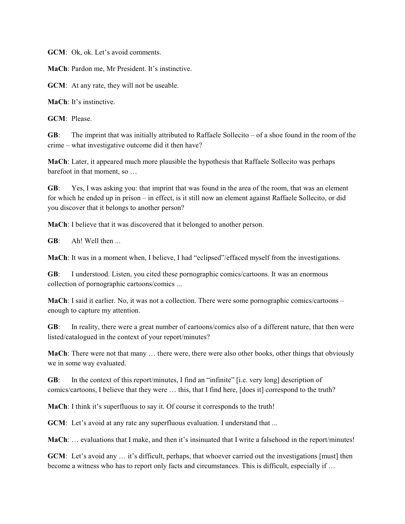**GCM**: Ok, ok. Let's avoid comments.

**MaCh**: Pardon me, Mr President. It's instinctive.

**GCM**: At any rate, they will not be useable.

**MaCh**: It's instinctive.

**GCM**: Please.

**GB**: The imprint that was initially attributed to Raffaele Sollecito – of a shoe found in the room of the crime – what investigative outcome did it then have?

**MaCh**: Later, it appeared much more plausible the hypothesis that Raffaele Sollecito was perhaps barefoot in that moment, so …

**GB**: Yes, I was asking you: that imprint that was found in the area of the room, that was an element for which he ended up in prison – in effect, is it still now an element against Raffaele Sollecito, or did you discover that it belongs to another person?

**MaCh**: I believe that it was discovered that it belonged to another person.

**GB**: Ah! Well then ...

**MaCh**: It was in a moment when, I believe, I had "eclipsed"/effaced myself from the investigations.

**GB**: I understood. Listen, you cited these pornographic comics/cartoons. It was an enormous collection of pornographic cartoons/comics ...

**MaCh**: I said it earlier. No, it was not a collection. There were some pornographic comics/cartoons – enough to capture my attention.

**GB**: In reality, there were a great number of cartoons/comics also of a different nature, that then were listed/catalogued in the context of your report/minutes?

**MaCh**: There were not that many … there were, there were also other books, other things that obviously we in some way evaluated.

**GB**: In the context of this report/minutes, I find an "infinite" [i.e. very long] description of comics/cartoons, I believe that they were … this, that I find here, [does it] correspond to the truth?

**MaCh**: I think it's superfluous to say it. Of course it corresponds to the truth!

**GCM**: Let's avoid at any rate any superfluous evaluation. I understand that ...

**MaCh**: … evaluations that I make, and then it's insinuated that I write a falsehood in the report/minutes!

**GCM**: Let's avoid any ... it's difficult, perhaps, that whoever carried out the investigations [must] then become a witness who has to report only facts and circumstances. This is difficult, especially if …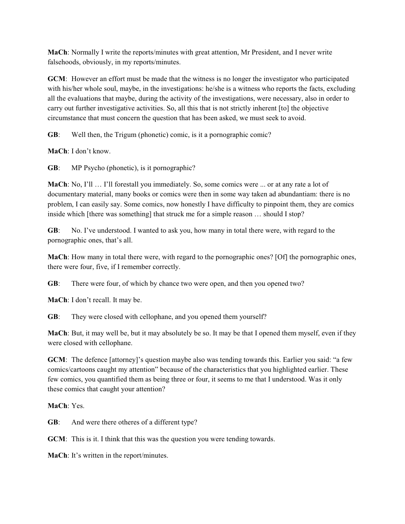**MaCh**: Normally I write the reports/minutes with great attention, Mr President, and I never write falsehoods, obviously, in my reports/minutes.

**GCM**: However an effort must be made that the witness is no longer the investigator who participated with his/her whole soul, maybe, in the investigations: he/she is a witness who reports the facts, excluding all the evaluations that maybe, during the activity of the investigations, were necessary, also in order to carry out further investigative activities. So, all this that is not strictly inherent [to] the objective circumstance that must concern the question that has been asked, we must seek to avoid.

**GB**: Well then, the Trigum (phonetic) comic, is it a pornographic comic?

**MaCh**: I don't know.

**GB**: MP Psycho (phonetic), is it pornographic?

**MaCh**: No, I'll … I'll forestall you immediately. So, some comics were ... or at any rate a lot of documentary material, many books or comics were then in some way taken ad abundantiam: there is no problem, I can easily say. Some comics, now honestly I have difficulty to pinpoint them, they are comics inside which [there was something] that struck me for a simple reason … should I stop?

**GB**: No. I've understood. I wanted to ask you, how many in total there were, with regard to the pornographic ones, that's all.

**MaCh**: How many in total there were, with regard to the pornographic ones? [Of] the pornographic ones, there were four, five, if I remember correctly.

**GB**: There were four, of which by chance two were open, and then you opened two?

**MaCh**: I don't recall. It may be.

**GB**: They were closed with cellophane, and you opened them yourself?

**MaCh**: But, it may well be, but it may absolutely be so. It may be that I opened them myself, even if they were closed with cellophane.

**GCM**: The defence [attorney]'s question maybe also was tending towards this. Earlier you said: "a few comics/cartoons caught my attention" because of the characteristics that you highlighted earlier. These few comics, you quantified them as being three or four, it seems to me that I understood. Was it only these comics that caught your attention?

**MaCh**: Yes.

**GB**: And were there otheres of a different type?

**GCM**: This is it. I think that this was the question you were tending towards.

**MaCh**: It's written in the report/minutes.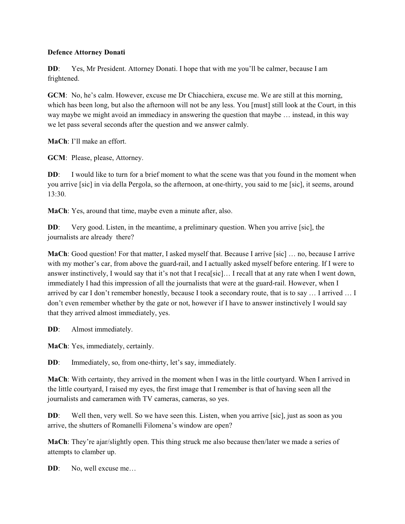### **Defence Attorney Donati**

**DD**: Yes, Mr President. Attorney Donati. I hope that with me you'll be calmer, because I am frightened.

**GCM**: No, he's calm. However, excuse me Dr Chiacchiera, excuse me. We are still at this morning, which has been long, but also the afternoon will not be any less. You [must] still look at the Court, in this way maybe we might avoid an immediacy in answering the question that maybe … instead, in this way we let pass several seconds after the question and we answer calmly.

**MaCh**: I'll make an effort.

**GCM**: Please, please, Attorney.

**DD:** I would like to turn for a brief moment to what the scene was that you found in the moment when you arrive [sic] in via della Pergola, so the afternoon, at one-thirty, you said to me [sic], it seems, around 13:30.

**MaCh**: Yes, around that time, maybe even a minute after, also.

**DD:** Very good. Listen, in the meantime, a preliminary question. When you arrive [sic], the journalists are already there?

**MaCh**: Good question! For that matter, I asked myself that. Because I arrive [sic] … no, because I arrive with my mother's car, from above the guard-rail, and I actually asked myself before entering. If I were to answer instinctively, I would say that it's not that I reca[sic]… I recall that at any rate when I went down, immediately I had this impression of all the journalists that were at the guard-rail. However, when I arrived by car I don't remember honestly, because I took a secondary route, that is to say … I arrived … I don't even remember whether by the gate or not, however if I have to answer instinctively I would say that they arrived almost immediately, yes.

**DD**: Almost immediately.

**MaCh**: Yes, immediately, certainly.

**DD**: Immediately, so, from one-thirty, let's say, immediately.

**MaCh**: With certainty, they arrived in the moment when I was in the little courtyard. When I arrived in the little courtyard, I raised my eyes, the first image that I remember is that of having seen all the journalists and cameramen with TV cameras, cameras, so yes.

**DD:** Well then, very well. So we have seen this. Listen, when you arrive [sic], just as soon as you arrive, the shutters of Romanelli Filomena's window are open?

**MaCh**: They're ajar/slightly open. This thing struck me also because then/later we made a series of attempts to clamber up.

**DD**: No, well excuse me...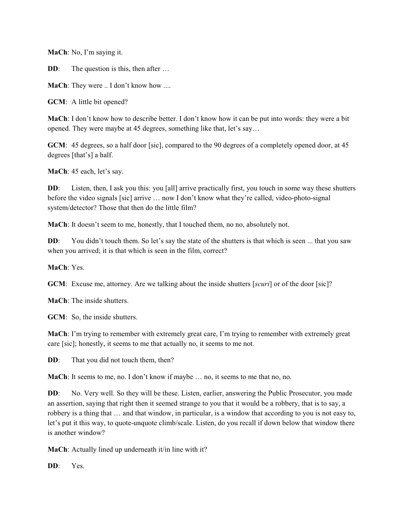**MaCh**: No, I'm saying it.

**DD:** The question is this, then after ...

**MaCh**: They were .. I don't know how ....

**GCM**: A little bit opened?

**MaCh**: I don't know how to describe better. I don't know how it can be put into words: they were a bit opened. They were maybe at 45 degrees, something like that, let's say…

**GCM**: 45 degrees, so a half door [sic], compared to the 90 degrees of a completely opened door, at 45 degrees [that's] a half.

**MaCh**: 45 each, let's say.

**DD**: Listen, then, I ask you this: you [all] arrive practically first, you touch in some way these shutters before the video signals [sic] arrive … now I don't know what they're called, video-photo-signal system/detector? Those that then do the little film?

**MaCh**: It doesn't seem to me, honestly, that I touched them, no no, absolutely not.

**DD:** You didn't touch them. So let's say the state of the shutters is that which is seen ... that you saw when you arrived; it is that which is seen in the film, correct?

**MaCh**: Yes.

**GCM**: Excuse me, attorney. Are we talking about the inside shutters [*scuri*] or of the door [sic]?

**MaCh**: The inside shutters.

**GCM**: So, the inside shutters.

**MaCh**: I'm trying to remember with extremely great care, I'm trying to remember with extremely great care [sic]; honestly, it seems to me that actually no, it seems to me not.

**DD**: That you did not touch them, then?

**MaCh**: It seems to me, no. I don't know if maybe … no, it seems to me that no, no.

**DD:** No. Very well. So they will be these. Listen, earlier, answering the Public Prosecutor, you made an assertion, saying that right then it seemed strange to you that it would be a robbery, that is to say, a robbery is a thing that … and that window, in particular, is a window that according to you is not easy to, let's put it this way, to quote-unquote climb/scale. Listen, do you recall if down below that window there is another window?

**MaCh:** Actually lined up underneath it/in line with it?

**DD**: Yes.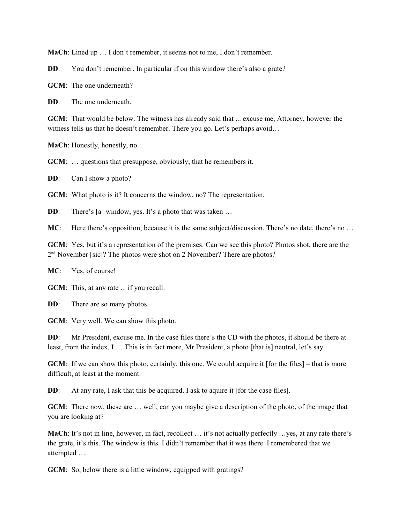**MaCh**: Lined up … I don't remember, it seems not to me, I don't remember.

**DD**: You don't remember. In particular if on this window there's also a grate?

**GCM**: The one underneath?

**DD**: The one underneath.

**GCM**: That would be below. The witness has already said that ... excuse me, Attorney, however the witness tells us that he doesn't remember. There you go. Let's perhaps avoid...

**MaCh**: Honestly, honestly, no.

**GCM:** ... questions that presuppose, obviously, that he remembers it.

**DD**: Can I show a photo?

**GCM**: What photo is it? It concerns the window, no? The representation.

**DD**: There's [a] window, yes. It's a photo that was taken ...

**MC**: Here there's opposition, because it is the same subject/discussion. There's no date, there's no ...

**GCM**: Yes, but it's a representation of the premises. Can we see this photo? Photos shot, there are the  $2<sup>nd</sup>$  November [sic]? The photos were shot on 2 November? There are photos?

**MC**: Yes, of course!

**GCM**: This, at any rate ... if you recall.

**DD**: There are so many photos.

**GCM**: Very well. We can show this photo.

**DD:** Mr President, excuse me. In the case files there's the CD with the photos, it should be there at least, from the index, I … This is in fact more, Mr President, a photo [that is] neutral, let's say.

**GCM**: If we can show this photo, certainly, this one. We could acquire it [for the files] – that is more difficult, at least at the moment.

**DD:** At any rate, I ask that this be acquired. I ask to aquire it [for the case files].

**GCM**: There now, these are … well, can you maybe give a description of the photo, of the image that you are looking at?

**MaCh**: It's not in line, however, in fact, recollect … it's not actually perfectly …yes, at any rate there's the grate, it's this. The window is this. I didn't remember that it was there. I remembered that we attempted …

**GCM**: So, below there is a little window, equipped with gratings?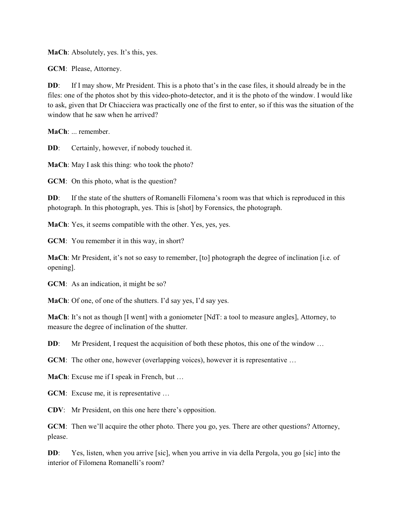**MaCh**: Absolutely, yes. It's this, yes.

**GCM**: Please, Attorney.

**DD:** If I may show, Mr President. This is a photo that's in the case files, it should already be in the files: one of the photos shot by this video-photo-detector, and it is the photo of the window. I would like to ask, given that Dr Chiacciera was practically one of the first to enter, so if this was the situation of the window that he saw when he arrived?

**MaCh**: ... remember.

**DD**: Certainly, however, if nobody touched it.

**MaCh**: May I ask this thing: who took the photo?

**GCM**: On this photo, what is the question?

**DD:** If the state of the shutters of Romanelli Filomena's room was that which is reproduced in this photograph. In this photograph, yes. This is [shot] by Forensics, the photograph.

**MaCh**: Yes, it seems compatible with the other. Yes, yes, yes.

**GCM**: You remember it in this way, in short?

**MaCh**: Mr President, it's not so easy to remember, [to] photograph the degree of inclination [i.e. of opening].

**GCM**: As an indication, it might be so?

**MaCh**: Of one, of one of the shutters. I'd say yes, I'd say yes.

**MaCh**: It's not as though [I went] with a goniometer [NdT: a tool to measure angles], Attorney, to measure the degree of inclination of the shutter.

**DD:** Mr President, I request the acquisition of both these photos, this one of the window ...

**GCM**: The other one, however (overlapping voices), however it is representative ...

**MaCh**: Excuse me if I speak in French, but …

**GCM**: Excuse me, it is representative ...

**CDV**: Mr President, on this one here there's opposition.

**GCM**: Then we'll acquire the other photo. There you go, yes. There are other questions? Attorney, please.

**DD:** Yes, listen, when you arrive [sic], when you arrive in via della Pergola, you go [sic] into the interior of Filomena Romanelli's room?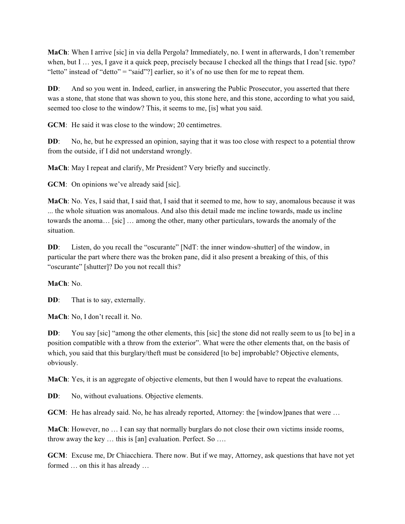**MaCh**: When I arrive [sic] in via della Pergola? Immediately, no. I went in afterwards, I don't remember when, but I ... yes, I gave it a quick peep, precisely because I checked all the things that I read [sic. typo? "letto" instead of "detto" = "said"?] earlier, so it's of no use then for me to repeat them.

**DD:** And so you went in. Indeed, earlier, in answering the Public Prosecutor, you asserted that there was a stone, that stone that was shown to you, this stone here, and this stone, according to what you said, seemed too close to the window? This, it seems to me, [is] what you said.

**GCM**: He said it was close to the window; 20 centimetres.

**DD:** No, he, but he expressed an opinion, saying that it was too close with respect to a potential throw from the outside, if I did not understand wrongly.

**MaCh**: May I repeat and clarify, Mr President? Very briefly and succinctly.

**GCM**: On opinions we've already said [sic].

**MaCh**: No. Yes, I said that, I said that, I said that it seemed to me, how to say, anomalous because it was ... the whole situation was anomalous. And also this detail made me incline towards, made us incline towards the anoma… [sic] … among the other, many other particulars, towards the anomaly of the situation.

**DD:** Listen, do you recall the "oscurante" [NdT: the inner window-shutter] of the window, in particular the part where there was the broken pane, did it also present a breaking of this, of this "oscurante" [shutter]? Do you not recall this?

### **MaCh**: No.

**DD:** That is to say, externally.

**MaCh**: No, I don't recall it. No.

**DD:** You say [sic] "among the other elements, this [sic] the stone did not really seem to us [to be] in a position compatible with a throw from the exterior". What were the other elements that, on the basis of which, you said that this burglary/theft must be considered [to be] improbable? Objective elements, obviously.

**MaCh**: Yes, it is an aggregate of objective elements, but then I would have to repeat the evaluations.

**DD**: No, without evaluations. Objective elements.

**GCM**: He has already said. No, he has already reported, Attorney: the [window] panes that were ...

**MaCh**: However, no … I can say that normally burglars do not close their own victims inside rooms, throw away the key … this is [an] evaluation. Perfect. So ….

**GCM**: Excuse me, Dr Chiacchiera. There now. But if we may, Attorney, ask questions that have not yet formed … on this it has already …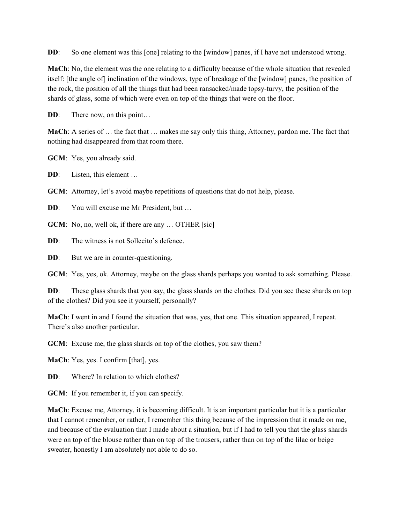**DD:** So one element was this [one] relating to the [window] panes, if I have not understood wrong.

**MaCh**: No, the element was the one relating to a difficulty because of the whole situation that revealed itself: [the angle of] inclination of the windows, type of breakage of the [window] panes, the position of the rock, the position of all the things that had been ransacked/made topsy-turvy, the position of the shards of glass, some of which were even on top of the things that were on the floor.

**DD:** There now, on this point...

**MaCh**: A series of … the fact that … makes me say only this thing, Attorney, pardon me. The fact that nothing had disappeared from that room there.

**GCM**: Yes, you already said.

**DD:** Listen, this element ...

**GCM**: Attorney, let's avoid maybe repetitions of questions that do not help, please.

**DD:** You will excuse me Mr President, but ...

**GCM**: No, no, well ok, if there are any ... OTHER [sic]

**DD:** The witness is not Sollecito's defence.

**DD**: But we are in counter-questioning.

**GCM**: Yes, yes, ok. Attorney, maybe on the glass shards perhaps you wanted to ask something. Please.

**DD:** These glass shards that you say, the glass shards on the clothes. Did you see these shards on top of the clothes? Did you see it yourself, personally?

**MaCh**: I went in and I found the situation that was, yes, that one. This situation appeared, I repeat. There's also another particular.

**GCM**: Excuse me, the glass shards on top of the clothes, you saw them?

**MaCh**: Yes, yes. I confirm [that], yes.

**DD**: Where? In relation to which clothes?

**GCM**: If you remember it, if you can specify.

**MaCh**: Excuse me, Attorney, it is becoming difficult. It is an important particular but it is a particular that I cannot remember, or rather, I remember this thing because of the impression that it made on me, and because of the evaluation that I made about a situation, but if I had to tell you that the glass shards were on top of the blouse rather than on top of the trousers, rather than on top of the lilac or beige sweater, honestly I am absolutely not able to do so.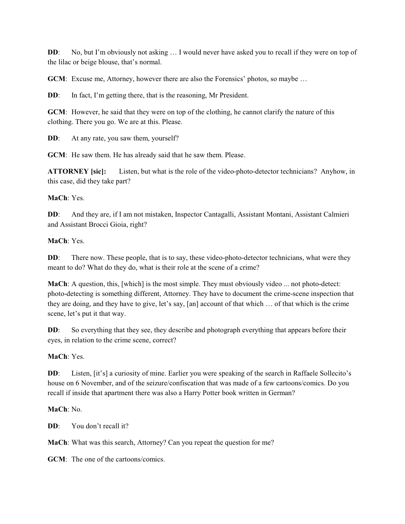**DD:** No, but I'm obviously not asking ... I would never have asked you to recall if they were on top of the lilac or beige blouse, that's normal.

**GCM**: Excuse me, Attorney, however there are also the Forensics' photos, so maybe ...

**DD:** In fact, I'm getting there, that is the reasoning, Mr President.

**GCM**: However, he said that they were on top of the clothing, he cannot clarify the nature of this clothing. There you go. We are at this. Please.

**DD**: At any rate, you saw them, yourself?

**GCM**: He saw them. He has already said that he saw them. Please.

**ATTORNEY [sic]:** Listen, but what is the role of the video-photo-detector technicians? Anyhow, in this case, did they take part?

### **MaCh**: Yes.

**DD**: And they are, if I am not mistaken, Inspector Cantagalli, Assistant Montani, Assistant Calmieri and Assistant Brocci Gioia, right?

### **MaCh**: Yes.

**DD:** There now. These people, that is to say, these video-photo-detector technicians, what were they meant to do? What do they do, what is their role at the scene of a crime?

**MaCh**: A question, this, [which] is the most simple. They must obviously video ... not photo-detect: photo-detecting is something different, Attorney. They have to document the crime-scene inspection that they are doing, and they have to give, let's say, [an] account of that which … of that which is the crime scene, let's put it that way.

**DD:** So everything that they see, they describe and photograph everything that appears before their eyes, in relation to the crime scene, correct?

### **MaCh**: Yes.

**DD:** Listen, [it's] a curiosity of mine. Earlier you were speaking of the search in Raffaele Sollecito's house on 6 November, and of the seizure/confiscation that was made of a few cartoons/comics. Do you recall if inside that apartment there was also a Harry Potter book written in German?

# **MaCh**: No.

**DD**: You don't recall it?

**MaCh**: What was this search, Attorney? Can you repeat the question for me?

**GCM**: The one of the cartoons/comics.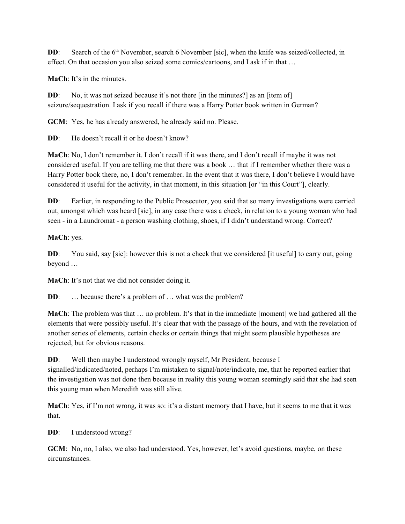**DD**: Search of the 6<sup>th</sup> November, search 6 November [sic], when the knife was seized/collected, in effect. On that occasion you also seized some comics/cartoons, and I ask if in that …

**MaCh**: It's in the minutes.

**DD:** No, it was not seized because it's not there [in the minutes?] as an [item of] seizure/sequestration. I ask if you recall if there was a Harry Potter book written in German?

**GCM**: Yes, he has already answered, he already said no. Please.

**DD:** He doesn't recall it or he doesn't know?

**MaCh**: No, I don't remember it. I don't recall if it was there, and I don't recall if maybe it was not considered useful. If you are telling me that there was a book … that if I remember whether there was a Harry Potter book there, no, I don't remember. In the event that it was there, I don't believe I would have considered it useful for the activity, in that moment, in this situation [or "in this Court"], clearly.

**DD:** Earlier, in responding to the Public Prosecutor, you said that so many investigations were carried out, amongst which was heard [sic], in any case there was a check, in relation to a young woman who had seen - in a Laundromat - a person washing clothing, shoes, if I didn't understand wrong. Correct?

**MaCh**: yes.

**DD:** You said, say [sic]: however this is not a check that we considered [it useful] to carry out, going beyond …

**MaCh**: It's not that we did not consider doing it.

**DD:** ... because there's a problem of ... what was the problem?

**MaCh**: The problem was that … no problem. It's that in the immediate [moment] we had gathered all the elements that were possibly useful. It's clear that with the passage of the hours, and with the revelation of another series of elements, certain checks or certain things that might seem plausible hypotheses are rejected, but for obvious reasons.

**DD:** Well then maybe I understood wrongly myself, Mr President, because I

signalled/indicated/noted, perhaps I'm mistaken to signal/note/indicate, me, that he reported earlier that the investigation was not done then because in reality this young woman seemingly said that she had seen this young man when Meredith was still alive.

**MaCh**: Yes, if I'm not wrong, it was so: it's a distant memory that I have, but it seems to me that it was that.

**DD**: I understood wrong?

**GCM**: No, no, I also, we also had understood. Yes, however, let's avoid questions, maybe, on these circumstances.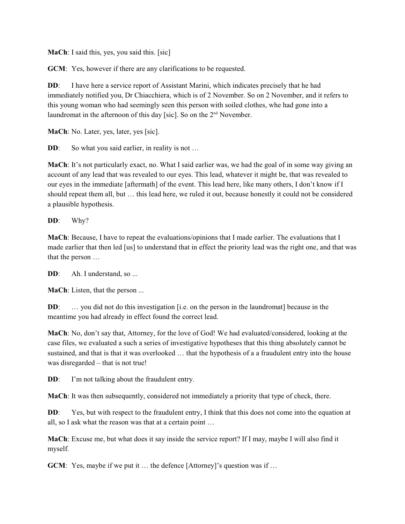**MaCh**: I said this, yes, you said this. [sic]

**GCM**: Yes, however if there are any clarifications to be requested.

**DD:** I have here a service report of Assistant Marini, which indicates precisely that he had immediately notified you, Dr Chiacchiera, which is of 2 November. So on 2 November, and it refers to this young woman who had seemingly seen this person with soiled clothes, whe had gone into a laundromat in the afternoon of this day [sic]. So on the  $2<sup>nd</sup>$  November.

**MaCh**: No. Later, yes, later, yes [sic].

**DD:** So what you said earlier, in reality is not ...

**MaCh**: It's not particularly exact, no. What I said earlier was, we had the goal of in some way giving an account of any lead that was revealed to our eyes. This lead, whatever it might be, that was revealed to our eyes in the immediate [aftermath] of the event. This lead here, like many others, I don't know if I should repeat them all, but … this lead here, we ruled it out, because honestly it could not be considered a plausible hypothesis.

**DD**: Why?

**MaCh**: Because, I have to repeat the evaluations/opinions that I made earlier. The evaluations that I made earlier that then led [us] to understand that in effect the priority lead was the right one, and that was that the person …

**DD:** Ah. I understand, so ...

**MaCh**: Listen, that the person ...

**DD:** ... you did not do this investigation [i.e. on the person in the laundromat] because in the meantime you had already in effect found the correct lead.

**MaCh**: No, don't say that, Attorney, for the love of God! We had evaluated/considered, looking at the case files, we evaluated a such a series of investigative hypotheses that this thing absolutely cannot be sustained, and that is that it was overlooked … that the hypothesis of a a fraudulent entry into the house was disregarded – that is not true!

**DD:** I'm not talking about the fraudulent entry.

**MaCh**: It was then subsequently, considered not immediately a priority that type of check, there.

**DD:** Yes, but with respect to the fraudulent entry, I think that this does not come into the equation at all, so I ask what the reason was that at a certain point …

**MaCh**: Excuse me, but what does it say inside the service report? If I may, maybe I will also find it myself.

**GCM**: Yes, maybe if we put it ... the defence [Attorney]'s question was if ...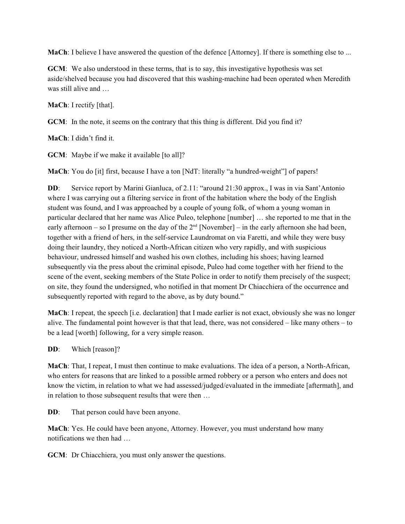**MaCh**: I believe I have answered the question of the defence [Attorney]. If there is something else to ...

**GCM**: We also understood in these terms, that is to say, this investigative hypothesis was set aside/shelved because you had discovered that this washing-machine had been operated when Meredith was still alive and …

**MaCh**: I rectify [that].

**GCM**: In the note, it seems on the contrary that this thing is different. Did you find it?

**MaCh**: I didn't find it.

**GCM**: Maybe if we make it available [to all]?

**MaCh**: You do [it] first, because I have a ton [NdT: literally "a hundred-weight"] of papers!

**DD:** Service report by Marini Gianluca, of 2.11: "around 21:30 approx., I was in via Sant'Antonio where I was carrying out a filtering service in front of the habitation where the body of the English student was found, and I was approached by a couple of young folk, of whom a young woman in particular declared that her name was Alice Puleo, telephone [number] … she reported to me that in the early afternoon – so I presume on the day of the  $2<sup>nd</sup>$  [November] – in the early afternoon she had been, together with a friend of hers, in the self-service Laundromat on via Faretti, and while they were busy doing their laundry, they noticed a North-African citizen who very rapidly, and with suspicious behaviour, undressed himself and washed his own clothes, including his shoes; having learned subsequently via the press about the criminal episode, Puleo had come together with her friend to the scene of the event, seeking members of the State Police in order to notify them precisely of the suspect; on site, they found the undersigned, who notified in that moment Dr Chiacchiera of the occurrence and subsequently reported with regard to the above, as by duty bound."

**MaCh**: I repeat, the speech [i.e. declaration] that I made earlier is not exact, obviously she was no longer alive. The fundamental point however is that that lead, there, was not considered  $-$  like many others  $-$  to be a lead [worth] following, for a very simple reason.

**DD**: Which [reason]?

**MaCh**: That, I repeat, I must then continue to make evaluations. The idea of a person, a North-African, who enters for reasons that are linked to a possible armed robbery or a person who enters and does not know the victim, in relation to what we had assessed/judged/evaluated in the immediate [aftermath], and in relation to those subsequent results that were then …

**DD**: That person could have been anyone.

**MaCh**: Yes. He could have been anyone, Attorney. However, you must understand how many notifications we then had …

**GCM**: Dr Chiacchiera, you must only answer the questions.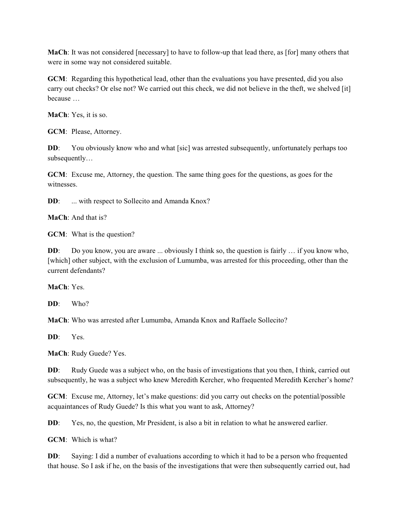**MaCh**: It was not considered [necessary] to have to follow-up that lead there, as [for] many others that were in some way not considered suitable.

**GCM**: Regarding this hypothetical lead, other than the evaluations you have presented, did you also carry out checks? Or else not? We carried out this check, we did not believe in the theft, we shelved [it] because …

**MaCh**: Yes, it is so.

**GCM**: Please, Attorney.

**DD:** You obviously know who and what [sic] was arrested subsequently, unfortunately perhaps too subsequently…

**GCM**: Excuse me, Attorney, the question. The same thing goes for the questions, as goes for the witnesses.

**DD:** ... with respect to Sollecito and Amanda Knox?

**MaCh**: And that is?

**GCM**: What is the question?

**DD:** Do you know, you are aware ... obviously I think so, the question is fairly ... if you know who, [which] other subject, with the exclusion of Lumumba, was arrested for this proceeding, other than the current defendants?

**MaCh**: Yes.

**DD**: Who?

**MaCh**: Who was arrested after Lumumba, Amanda Knox and Raffaele Sollecito?

**DD**: Yes.

**MaCh**: Rudy Guede? Yes.

**DD:** Rudy Guede was a subject who, on the basis of investigations that you then, I think, carried out subsequently, he was a subject who knew Meredith Kercher, who frequented Meredith Kercher's home?

**GCM**: Excuse me, Attorney, let's make questions: did you carry out checks on the potential/possible acquaintances of Rudy Guede? Is this what you want to ask, Attorney?

**DD:** Yes, no, the question, Mr President, is also a bit in relation to what he answered earlier.

**GCM**: Which is what?

**DD:** Saying: I did a number of evaluations according to which it had to be a person who frequented that house. So I ask if he, on the basis of the investigations that were then subsequently carried out, had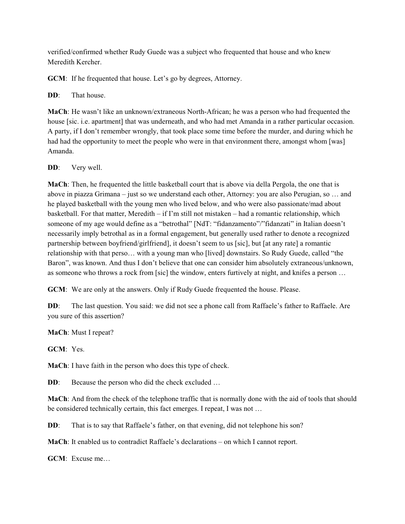verified/confirmed whether Rudy Guede was a subject who frequented that house and who knew Meredith Kercher.

**GCM**: If he frequented that house. Let's go by degrees, Attorney.

**DD:** That house.

**MaCh**: He wasn't like an unknown/extraneous North-African; he was a person who had frequented the house [sic. i.e. apartment] that was underneath, and who had met Amanda in a rather particular occasion. A party, if I don't remember wrongly, that took place some time before the murder, and during which he had had the opportunity to meet the people who were in that environment there, amongst whom [was] Amanda.

**DD**: Very well.

**MaCh**: Then, he frequented the little basketball court that is above via della Pergola, the one that is above in piazza Grimana – just so we understand each other, Attorney: you are also Perugian, so … and he played basketball with the young men who lived below, and who were also passionate/mad about basketball. For that matter, Meredith – if I'm still not mistaken – had a romantic relationship, which someone of my age would define as a "betrothal" [NdT: "fidanzamento"/"fidanzati" in Italian doesn't necessarily imply betrothal as in a formal engagement, but generally used rather to denote a recognized partnership between boyfriend/girlfriend], it doesn't seem to us [sic], but [at any rate] a romantic relationship with that perso… with a young man who [lived] downstairs. So Rudy Guede, called "the Baron", was known. And thus I don't believe that one can consider him absolutely extraneous/unknown, as someone who throws a rock from [sic] the window, enters furtively at night, and knifes a person …

**GCM**: We are only at the answers. Only if Rudy Guede frequented the house. Please.

**DD:** The last question. You said: we did not see a phone call from Raffaele's father to Raffaele. Are you sure of this assertion?

**MaCh**: Must I repeat?

**GCM**: Yes.

**MaCh**: I have faith in the person who does this type of check.

**DD**: Because the person who did the check excluded ...

**MaCh**: And from the check of the telephone traffic that is normally done with the aid of tools that should be considered technically certain, this fact emerges. I repeat, I was not …

**DD:** That is to say that Raffaele's father, on that evening, did not telephone his son?

**MaCh**: It enabled us to contradict Raffaele's declarations – on which I cannot report.

**GCM**: Excuse me…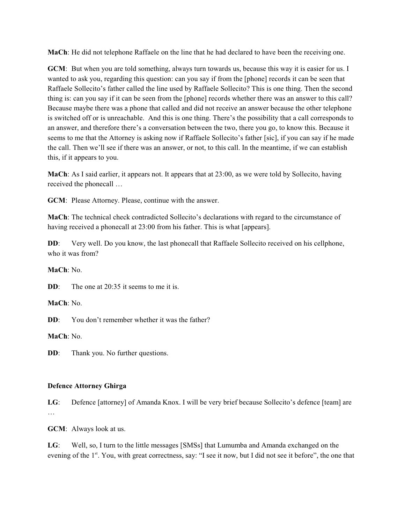**MaCh**: He did not telephone Raffaele on the line that he had declared to have been the receiving one.

**GCM**: But when you are told something, always turn towards us, because this way it is easier for us. I wanted to ask you, regarding this question: can you say if from the [phone] records it can be seen that Raffaele Sollecito's father called the line used by Raffaele Sollecito? This is one thing. Then the second thing is: can you say if it can be seen from the [phone] records whether there was an answer to this call? Because maybe there was a phone that called and did not receive an answer because the other telephone is switched off or is unreachable. And this is one thing. There's the possibility that a call corresponds to an answer, and therefore there's a conversation between the two, there you go, to know this. Because it seems to me that the Attorney is asking now if Raffaele Sollecito's father [sic], if you can say if he made the call. Then we'll see if there was an answer, or not, to this call. In the meantime, if we can establish this, if it appears to you.

**MaCh**: As I said earlier, it appears not. It appears that at 23:00, as we were told by Sollecito, having received the phonecall …

**GCM**: Please Attorney. Please, continue with the answer.

**MaCh**: The technical check contradicted Sollecito's declarations with regard to the circumstance of having received a phonecall at 23:00 from his father. This is what [appears].

**DD**: Very well. Do you know, the last phonecall that Raffaele Sollecito received on his cellphone, who it was from?

**MaCh**: No.

**DD**: The one at 20:35 it seems to me it is.

**MaCh**: No.

**DD**: You don't remember whether it was the father?

**MaCh**: No.

**DD:** Thank you. No further questions.

### **Defence Attorney Ghirga**

**LG**: Defence [attorney] of Amanda Knox. I will be very brief because Sollecito's defence [team] are …

**GCM**: Always look at us.

**LG**: Well, so, I turn to the little messages [SMSs] that Lumumba and Amanda exchanged on the evening of the 1<sup>st</sup>. You, with great correctness, say: "I see it now, but I did not see it before", the one that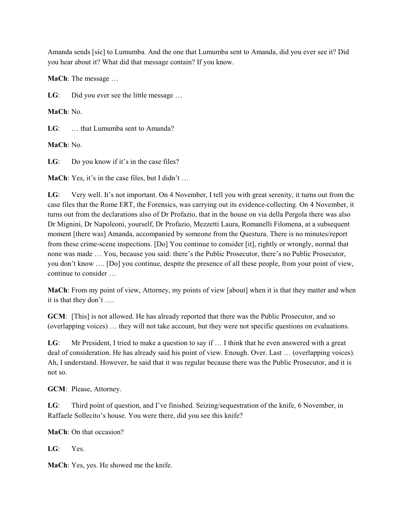Amanda sends [sic] to Lumumba. And the one that Lumumba sent to Amanda, did you ever see it? Did you hear about it? What did that message contain? If you know.

**MaCh**: The message …

LG: Did you ever see the little message ...

**MaCh**: No.

**LG**: … that Lumumba sent to Amanda?

**MaCh**: No.

LG: Do you know if it's in the case files?

**MaCh**: Yes, it's in the case files, but I didn't …

**LG**: Very well. It's not important. On 4 November, I tell you with great serenity, it turns out from the case files that the Rome ERT, the Forensics, was carrying out its evidence-collecting. On 4 November, it turns out from the declarations also of Dr Profazio, that in the house on via della Pergola there was also Dr Mignini, Dr Napoleoni, yourself, Dr Profazio, Mezzetti Laura, Romanelli Filomena, at a subsequent moment [there was] Amanda, accompanied by someone from the Questura. There is no minutes/report from these crime-scene inspections. [Do] You continue to consider [it], rightly or wrongly, normal that none was made … You, because you said: there's the Public Prosecutor, there's no Public Prosecutor, you don't know …. [Do] you continue, despite the presence of all these people, from your point of view, continue to consider …

**MaCh**: From my point of view, Attorney, my points of view [about] when it is that they matter and when it is that they don't ….

**GCM**: [This] is not allowed. He has already reported that there was the Public Prosecutor, and so (overlapping voices) … they will not take account, but they were not specific questions on evaluations.

LG: Mr President, I tried to make a question to say if ... I think that he even answered with a great deal of consideration. He has already said his point of view. Enough. Over. Last … (overlapping voices). Ah, I understand. However, he said that it was regular because there was the Public Prosecutor, and it is not so.

**GCM**: Please, Attorney.

**LG**: Third point of question, and I've finished. Seizing/sequestration of the knife, 6 November, in Raffaele Sollecito's house. You were there, did you see this knife?

**MaCh**: On that occasion?

**LG**: Yes.

**MaCh**: Yes, yes. He showed me the knife.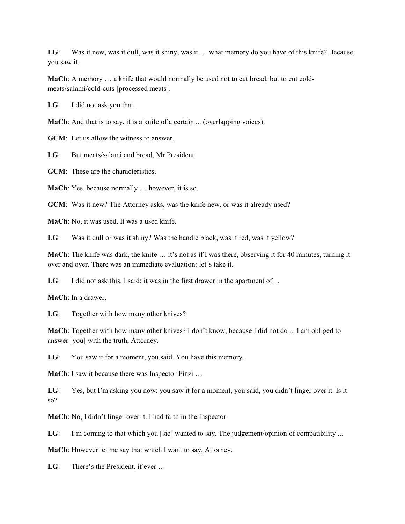LG: Was it new, was it dull, was it shiny, was it ... what memory do you have of this knife? Because you saw it.

**MaCh**: A memory … a knife that would normally be used not to cut bread, but to cut coldmeats/salami/cold-cuts [processed meats].

**LG**: I did not ask you that.

**MaCh**: And that is to say, it is a knife of a certain ... (overlapping voices).

**GCM**: Let us allow the witness to answer.

**LG**: But meats/salami and bread, Mr President.

**GCM**: These are the characteristics.

**MaCh**: Yes, because normally … however, it is so.

**GCM**: Was it new? The Attorney asks, was the knife new, or was it already used?

**MaCh**: No, it was used. It was a used knife.

**LG**: Was it dull or was it shiny? Was the handle black, was it red, was it yellow?

**MaCh**: The knife was dark, the knife … it's not as if I was there, observing it for 40 minutes, turning it over and over. There was an immediate evaluation: let's take it.

LG: I did not ask this. I said: it was in the first drawer in the apartment of ...

**MaCh**: In a drawer.

**LG**: Together with how many other knives?

**MaCh**: Together with how many other knives? I don't know, because I did not do ... I am obliged to answer [you] with the truth, Attorney.

**LG**: You saw it for a moment, you said. You have this memory.

**MaCh**: I saw it because there was Inspector Finzi …

**LG**: Yes, but I'm asking you now: you saw it for a moment, you said, you didn't linger over it. Is it so?

**MaCh**: No, I didn't linger over it. I had faith in the Inspector.

LG: I'm coming to that which you [sic] wanted to say. The judgement/opinion of compatibility ...

**MaCh**: However let me say that which I want to say, Attorney.

LG: There's the President, if ever ...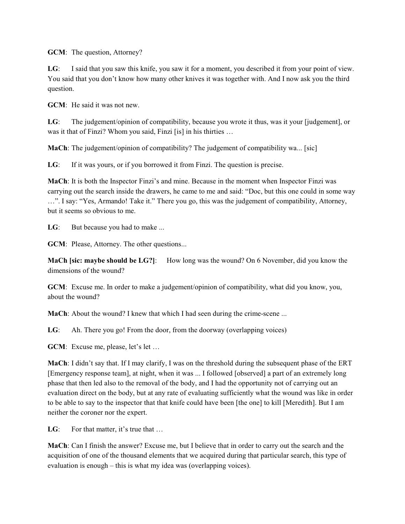**GCM**: The question, Attorney?

**LG**: I said that you saw this knife, you saw it for a moment, you described it from your point of view. You said that you don't know how many other knives it was together with. And I now ask you the third question.

**GCM**: He said it was not new.

**LG**: The judgement/opinion of compatibility, because you wrote it thus, was it your [judgement], or was it that of Finzi? Whom you said, Finzi [is] in his thirties …

**MaCh**: The judgement/opinion of compatibility? The judgement of compatibility wa... [sic]

LG: If it was yours, or if you borrowed it from Finzi. The question is precise.

**MaCh**: It is both the Inspector Finzi's and mine. Because in the moment when Inspector Finzi was carrying out the search inside the drawers, he came to me and said: "Doc, but this one could in some way …". I say: "Yes, Armando! Take it." There you go, this was the judgement of compatibility, Attorney, but it seems so obvious to me.

LG: But because you had to make ...

**GCM**: Please, Attorney. The other questions...

**MaCh [sic: maybe should be LG?]:** How long was the wound? On 6 November, did you know the dimensions of the wound?

**GCM**: Excuse me. In order to make a judgement/opinion of compatibility, what did you know, you, about the wound?

**MaCh**: About the wound? I knew that which I had seen during the crime-scene ...

**LG**: Ah. There you go! From the door, from the doorway (overlapping voices)

**GCM**: Excuse me, please, let's let …

**MaCh**: I didn't say that. If I may clarify, I was on the threshold during the subsequent phase of the ERT [Emergency response team], at night, when it was ... I followed [observed] a part of an extremely long phase that then led also to the removal of the body, and I had the opportunity not of carrying out an evaluation direct on the body, but at any rate of evaluating sufficiently what the wound was like in order to be able to say to the inspector that that knife could have been [the one] to kill [Meredith]. But I am neither the coroner nor the expert.

LG: For that matter, it's true that ...

**MaCh**: Can I finish the answer? Excuse me, but I believe that in order to carry out the search and the acquisition of one of the thousand elements that we acquired during that particular search, this type of evaluation is enough – this is what my idea was (overlapping voices).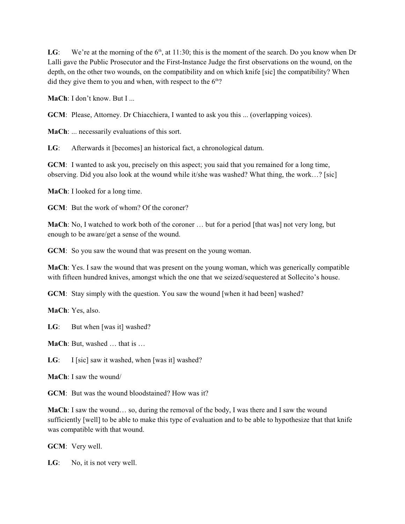LG: We're at the morning of the  $6<sup>th</sup>$ , at 11:30; this is the moment of the search. Do you know when Dr Lalli gave the Public Prosecutor and the First-Instance Judge the first observations on the wound, on the depth, on the other two wounds, on the compatibility and on which knife [sic] the compatibility? When did they give them to you and when, with respect to the  $6<sup>th</sup>$ ?

**MaCh**: I don't know. But I ...

**GCM**: Please, Attorney. Dr Chiacchiera, I wanted to ask you this ... (overlapping voices).

**MaCh**: ... necessarily evaluations of this sort.

**LG**: Afterwards it [becomes] an historical fact, a chronological datum.

**GCM**: I wanted to ask you, precisely on this aspect; you said that you remained for a long time, observing. Did you also look at the wound while it/she was washed? What thing, the work…? [sic]

**MaCh**: I looked for a long time.

**GCM**: But the work of whom? Of the coroner?

**MaCh**: No, I watched to work both of the coroner ... but for a period [that was] not very long, but enough to be aware/get a sense of the wound.

**GCM**: So you saw the wound that was present on the young woman.

**MaCh**: Yes. I saw the wound that was present on the young woman, which was generically compatible with fifteen hundred knives, amongst which the one that we seized/sequestered at Sollecito's house.

**GCM**: Stay simply with the question. You saw the wound [when it had been] washed?

**MaCh**: Yes, also.

LG: But when [was it] washed?

**MaCh**: But, washed … that is …

LG: I [sic] saw it washed, when [was it] washed?

**MaCh**: I saw the wound/

**GCM**: But was the wound bloodstained? How was it?

**MaCh**: I saw the wound… so, during the removal of the body, I was there and I saw the wound sufficiently [well] to be able to make this type of evaluation and to be able to hypothesize that that knife was compatible with that wound.

**GCM**: Very well.

LG: No, it is not very well.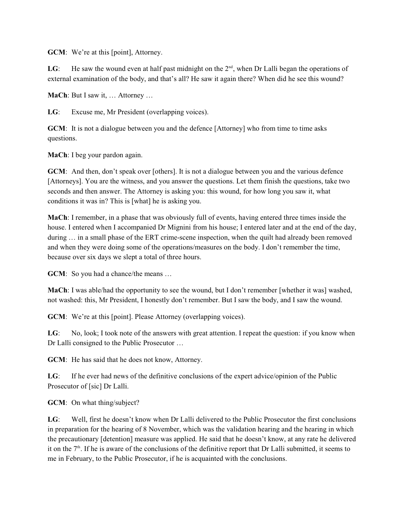**GCM**: We're at this [point], Attorney.

LG: He saw the wound even at half past midnight on the  $2<sup>nd</sup>$ , when Dr Lalli began the operations of external examination of the body, and that's all? He saw it again there? When did he see this wound?

**MaCh**: But I saw it, … Attorney …

**LG**: Excuse me, Mr President (overlapping voices).

**GCM**: It is not a dialogue between you and the defence [Attorney] who from time to time asks questions.

**MaCh**: I beg your pardon again.

**GCM**: And then, don't speak over [others]. It is not a dialogue between you and the various defence [Attorneys]. You are the witness, and you answer the questions. Let them finish the questions, take two seconds and then answer. The Attorney is asking you: this wound, for how long you saw it, what conditions it was in? This is [what] he is asking you.

**MaCh**: I remember, in a phase that was obviously full of events, having entered three times inside the house. I entered when I accompanied Dr Mignini from his house; I entered later and at the end of the day, during … in a small phase of the ERT crime-scene inspection, when the quilt had already been removed and when they were doing some of the operations/measures on the body. I don't remember the time, because over six days we slept a total of three hours.

**GCM**: So you had a chance/the means ...

**MaCh**: I was able/had the opportunity to see the wound, but I don't remember [whether it was] washed, not washed: this, Mr President, I honestly don't remember. But I saw the body, and I saw the wound.

**GCM**: We're at this [point]. Please Attorney (overlapping voices).

**LG**: No, look; I took note of the answers with great attention. I repeat the question: if you know when Dr Lalli consigned to the Public Prosecutor …

**GCM**: He has said that he does not know, Attorney.

**LG**: If he ever had news of the definitive conclusions of the expert advice/opinion of the Public Prosecutor of [sic] Dr Lalli.

**GCM**: On what thing/subject?

**LG**: Well, first he doesn't know when Dr Lalli delivered to the Public Prosecutor the first conclusions in preparation for the hearing of 8 November, which was the validation hearing and the hearing in which the precautionary [detention] measure was applied. He said that he doesn't know, at any rate he delivered it on the  $7<sup>th</sup>$ . If he is aware of the conclusions of the definitive report that Dr Lalli submitted, it seems to me in February, to the Public Prosecutor, if he is acquainted with the conclusions.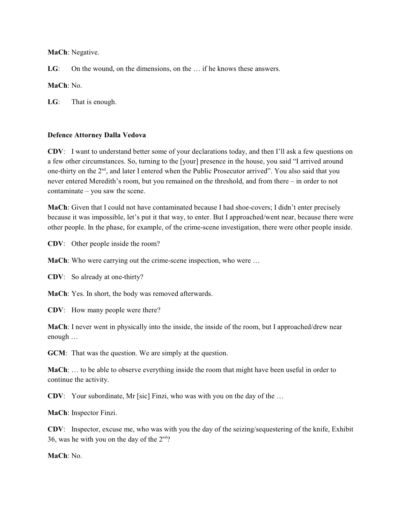**MaCh**: Negative.

LG: On the wound, on the dimensions, on the ... if he knows these answers.

### **MaCh**: No.

**LG**: That is enough.

### **Defence Attorney Dalla Vedova**

**CDV**: I want to understand better some of your declarations today, and then I'll ask a few questions on a few other circumstances. So, turning to the [your] presence in the house, you said "I arrived around one-thirty on the 2<sup>nd</sup>, and later I entered when the Public Prosecutor arrived". You also said that you never entered Meredith's room, but you remained on the threshold, and from there – in order to not contaminate – you saw the scene.

**MaCh**: Given that I could not have contaminated because I had shoe-covers; I didn't enter precisely because it was impossible, let's put it that way, to enter. But I approached/went near, because there were other people. In the phase, for example, of the crime-scene investigation, there were other people inside.

**CDV**: Other people inside the room?

**MaCh:** Who were carrying out the crime-scene inspection, who were ...

**CDV**: So already at one-thirty?

**MaCh**: Yes. In short, the body was removed afterwards.

**CDV**: How many people were there?

**MaCh**: I never went in physically into the inside, the inside of the room, but I approached/drew near enough …

**GCM**: That was the question. We are simply at the question.

**MaCh**: … to be able to observe everything inside the room that might have been useful in order to continue the activity.

**CDV**: Your subordinate, Mr [sic] Finzi, who was with you on the day of the …

**MaCh**: Inspector Finzi.

**CDV**: Inspector, excuse me, who was with you the day of the seizing/sequestering of the knife, Exhibit 36, was he with you on the day of the  $2<sup>nd</sup>$ ?

**MaCh**: No.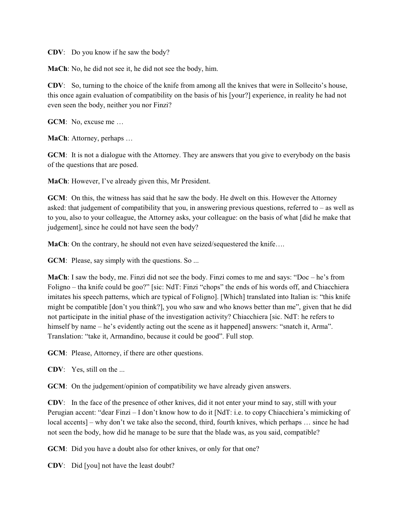**CDV**: Do you know if he saw the body?

**MaCh**: No, he did not see it, he did not see the body, him.

**CDV**: So, turning to the choice of the knife from among all the knives that were in Sollecito's house, this once again evaluation of compatibility on the basis of his [your?] experience, in reality he had not even seen the body, neither you nor Finzi?

**GCM**: No, excuse me …

**MaCh**: Attorney, perhaps …

**GCM**: It is not a dialogue with the Attorney. They are answers that you give to everybody on the basis of the questions that are posed.

**MaCh**: However, I've already given this, Mr President.

**GCM**: On this, the witness has said that he saw the body. He dwelt on this. However the Attorney asked: that judgement of compatibility that you, in answering previous questions, referred to – as well as to you, also to your colleague, the Attorney asks, your colleague: on the basis of what [did he make that judgement], since he could not have seen the body?

**MaCh**: On the contrary, he should not even have seized/sequestered the knife...

**GCM**: Please, say simply with the questions. So ...

**MaCh**: I saw the body, me. Finzi did not see the body. Finzi comes to me and says: "Doc – he's from Foligno – tha knife could be goo?" [sic: NdT: Finzi "chops" the ends of his words off, and Chiacchiera imitates his speech patterns, which are typical of Foligno]. [Which] translated into Italian is: "this knife might be compatible [don't you think?], you who saw and who knows better than me", given that he did not participate in the initial phase of the investigation activity? Chiacchiera [sic. NdT: he refers to himself by name – he's evidently acting out the scene as it happened] answers: "snatch it, Arma". Translation: "take it, Armandino, because it could be good". Full stop.

**GCM**: Please, Attorney, if there are other questions.

**CDV**: Yes, still on the ...

**GCM**: On the judgement/opinion of compatibility we have already given answers.

**CDV**: In the face of the presence of other knives, did it not enter your mind to say, still with your Perugian accent: "dear Finzi – I don't know how to do it [NdT: i.e. to copy Chiacchiera's mimicking of local accents] – why don't we take also the second, third, fourth knives, which perhaps … since he had not seen the body, how did he manage to be sure that the blade was, as you said, compatible?

**GCM**: Did you have a doubt also for other knives, or only for that one?

**CDV**: Did [you] not have the least doubt?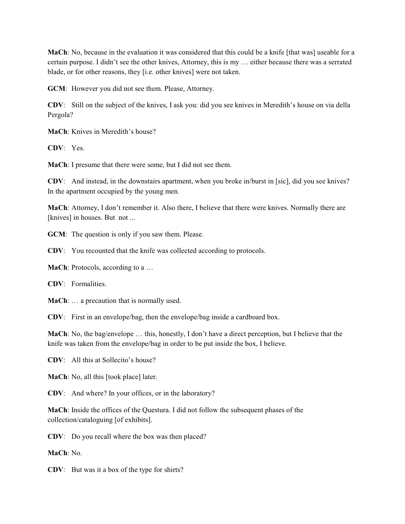**MaCh**: No, because in the evaluation it was considered that this could be a knife [that was] useable for a certain purpose. I didn't see the other knives, Attorney, this is my … either because there was a serrated blade, or for other reasons, they [i.e. other knives] were not taken.

**GCM**: However you did not see them. Please, Attorney.

**CDV**: Still on the subject of the knives, I ask you: did you see knives in Meredith's house on via della Pergola?

**MaCh**: Knives in Meredith's house?

**CDV**: Yes.

**MaCh**: I presume that there were some, but I did not see them.

**CDV**: And instead, in the downstairs apartment, when you broke in/burst in [sic], did you see knives? In the apartment occupied by the young men.

**MaCh**: Attorney, I don't remember it. Also there, I believe that there were knives. Normally there are [knives] in houses. But not ...

**GCM**: The question is only if you saw them. Please.

**CDV**: You recounted that the knife was collected according to protocols.

**MaCh**: Protocols, according to a …

**CDV**: Formalities.

**MaCh**: … a precaution that is normally used.

**CDV**: First in an envelope/bag, then the envelope/bag inside a cardboard box.

**MaCh**: No, the bag/envelope … this, honestly, I don't have a direct perception, but I believe that the knife was taken from the envelope/bag in order to be put inside the box, I believe.

**CDV**: All this at Sollecito's house?

**MaCh**: No, all this [took place] later.

**CDV**: And where? In your offices, or in the laboratory?

**MaCh**: Inside the offices of the Questura. I did not follow the subsequent phases of the collection/cataloguing [of exhibits].

**CDV**: Do you recall where the box was then placed?

**MaCh**: No.

**CDV**: But was it a box of the type for shirts?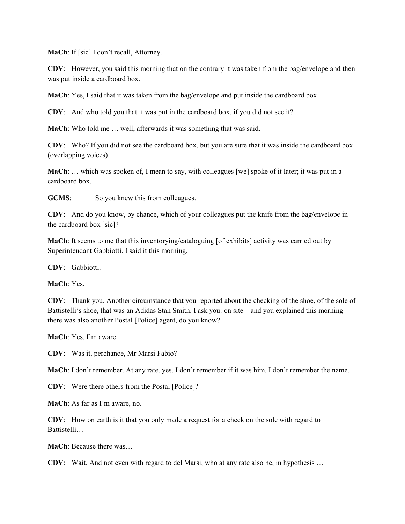**MaCh**: If [sic] I don't recall, Attorney.

**CDV**: However, you said this morning that on the contrary it was taken from the bag/envelope and then was put inside a cardboard box.

**MaCh**: Yes, I said that it was taken from the bag/envelope and put inside the cardboard box.

**CDV**: And who told you that it was put in the cardboard box, if you did not see it?

**MaCh**: Who told me … well, afterwards it was something that was said.

**CDV**: Who? If you did not see the cardboard box, but you are sure that it was inside the cardboard box (overlapping voices).

**MaCh**: … which was spoken of, I mean to say, with colleagues [we] spoke of it later; it was put in a cardboard box.

**GCMS:** So you knew this from colleagues.

**CDV**: And do you know, by chance, which of your colleagues put the knife from the bag/envelope in the cardboard box [sic]?

**MaCh**: It seems to me that this inventorying/cataloguing [of exhibits] activity was carried out by Superintendant Gabbiotti. I said it this morning.

**CDV**: Gabbiotti.

**MaCh**: Yes.

**CDV**: Thank you. Another circumstance that you reported about the checking of the shoe, of the sole of Battistelli's shoe, that was an Adidas Stan Smith. I ask you: on site – and you explained this morning – there was also another Postal [Police] agent, do you know?

**MaCh**: Yes, I'm aware.

**CDV**: Was it, perchance, Mr Marsi Fabio?

**MaCh**: I don't remember. At any rate, yes. I don't remember if it was him. I don't remember the name.

**CDV**: Were there others from the Postal [Police]?

**MaCh**: As far as I'm aware, no.

**CDV**: How on earth is it that you only made a request for a check on the sole with regard to Battistelli…

**MaCh**: Because there was…

**CDV**: Wait. And not even with regard to del Marsi, who at any rate also he, in hypothesis …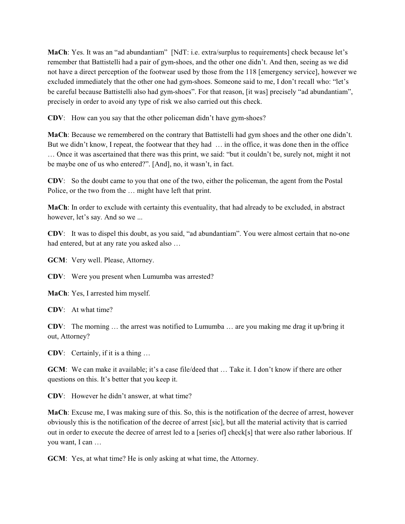**MaCh**: Yes. It was an "ad abundantiam" [NdT: i.e. extra/surplus to requirements] check because let's remember that Battistelli had a pair of gym-shoes, and the other one didn't. And then, seeing as we did not have a direct perception of the footwear used by those from the 118 [emergency service], however we excluded immediately that the other one had gym-shoes. Someone said to me, I don't recall who: "let's be careful because Battistelli also had gym-shoes". For that reason, [it was] precisely "ad abundantiam", precisely in order to avoid any type of risk we also carried out this check.

**CDV**: How can you say that the other policeman didn't have gym-shoes?

**MaCh**: Because we remembered on the contrary that Battistelli had gym shoes and the other one didn't. But we didn't know, I repeat, the footwear that they had … in the office, it was done then in the office … Once it was ascertained that there was this print, we said: "but it couldn't be, surely not, might it not be maybe one of us who entered?". [And], no, it wasn't, in fact.

**CDV**: So the doubt came to you that one of the two, either the policeman, the agent from the Postal Police, or the two from the … might have left that print.

**MaCh**: In order to exclude with certainty this eventuality, that had already to be excluded, in abstract however, let's say. And so we ...

**CDV**: It was to dispel this doubt, as you said, "ad abundantiam". You were almost certain that no-one had entered, but at any rate you asked also …

**GCM**: Very well. Please, Attorney.

**CDV**: Were you present when Lumumba was arrested?

**MaCh**: Yes, I arrested him myself.

**CDV**: At what time?

**CDV**: The morning … the arrest was notified to Lumumba … are you making me drag it up/bring it out, Attorney?

**CDV**: Certainly, if it is a thing …

**GCM**: We can make it available; it's a case file/deed that … Take it. I don't know if there are other questions on this. It's better that you keep it.

**CDV**: However he didn't answer, at what time?

**MaCh**: Excuse me, I was making sure of this. So, this is the notification of the decree of arrest, however obviously this is the notification of the decree of arrest [sic], but all the material activity that is carried out in order to execute the decree of arrest led to a [series of] check[s] that were also rather laborious. If you want, I can …

**GCM**: Yes, at what time? He is only asking at what time, the Attorney.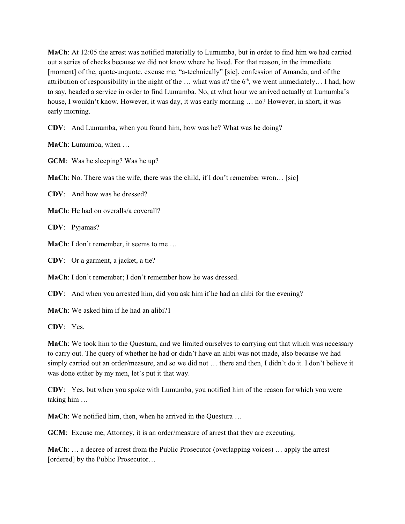**MaCh**: At 12:05 the arrest was notified materially to Lumumba, but in order to find him we had carried out a series of checks because we did not know where he lived. For that reason, in the immediate [moment] of the, quote-unquote, excuse me, "a-technically" [sic], confession of Amanda, and of the attribution of responsibility in the night of the  $\ldots$  what was it? the 6<sup>th</sup>, we went immediately... I had, how to say, headed a service in order to find Lumumba. No, at what hour we arrived actually at Lumumba's house, I wouldn't know. However, it was day, it was early morning … no? However, in short, it was early morning.

**CDV**: And Lumumba, when you found him, how was he? What was he doing?

**MaCh**: Lumumba, when …

**GCM**: Was he sleeping? Was he up?

**MaCh**: No. There was the wife, there was the child, if I don't remember wron... [sic]

**CDV**: And how was he dressed?

**MaCh**: He had on overalls/a coverall?

**CDV**: Pyjamas?

**MaCh**: I don't remember, it seems to me ...

**CDV**: Or a garment, a jacket, a tie?

**MaCh**: I don't remember; I don't remember how he was dressed.

**CDV**: And when you arrested him, did you ask him if he had an alibi for the evening?

**MaCh**: We asked him if he had an alibi?1

**CDV**: Yes.

**MaCh**: We took him to the Questura, and we limited ourselves to carrying out that which was necessary to carry out. The query of whether he had or didn't have an alibi was not made, also because we had simply carried out an order/measure, and so we did not … there and then, I didn't do it. I don't believe it was done either by my men, let's put it that way.

**CDV**: Yes, but when you spoke with Lumumba, you notified him of the reason for which you were taking him …

**MaCh**: We notified him, then, when he arrived in the Questura …

**GCM**: Excuse me, Attorney, it is an order/measure of arrest that they are executing.

**MaCh**: … a decree of arrest from the Public Prosecutor (overlapping voices) … apply the arrest [ordered] by the Public Prosecutor...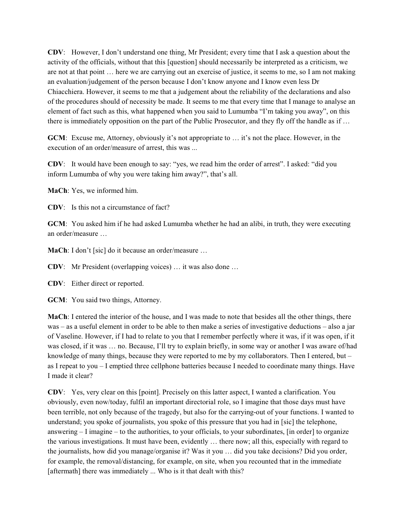**CDV**: However, I don't understand one thing, Mr President; every time that I ask a question about the activity of the officials, without that this [question] should necessarily be interpreted as a criticism, we are not at that point … here we are carrying out an exercise of justice, it seems to me, so I am not making an evaluation/judgement of the person because I don't know anyone and I know even less Dr Chiacchiera. However, it seems to me that a judgement about the reliability of the declarations and also of the procedures should of necessity be made. It seems to me that every time that I manage to analyse an element of fact such as this, what happened when you said to Lumumba "I'm taking you away", on this there is immediately opposition on the part of the Public Prosecutor, and they fly off the handle as if …

**GCM**: Excuse me, Attorney, obviously it's not appropriate to … it's not the place. However, in the execution of an order/measure of arrest, this was ...

**CDV**: It would have been enough to say: "yes, we read him the order of arrest". I asked: "did you inform Lumumba of why you were taking him away?", that's all.

**MaCh**: Yes, we informed him.

**CDV**: Is this not a circumstance of fact?

**GCM**: You asked him if he had asked Lumumba whether he had an alibi, in truth, they were executing an order/measure …

**MaCh**: I don't [sic] do it because an order/measure ...

**CDV**: Mr President (overlapping voices) … it was also done …

**CDV**: Either direct or reported.

**GCM**: You said two things, Attorney.

**MaCh**: I entered the interior of the house, and I was made to note that besides all the other things, there was – as a useful element in order to be able to then make a series of investigative deductions – also a jar of Vaseline. However, if I had to relate to you that I remember perfectly where it was, if it was open, if it was closed, if it was … no. Because, I'll try to explain briefly, in some way or another I was aware of/had knowledge of many things, because they were reported to me by my collaborators. Then I entered, but – as I repeat to you – I emptied three cellphone batteries because I needed to coordinate many things. Have I made it clear?

**CDV**: Yes, very clear on this [point]. Precisely on this latter aspect, I wanted a clarification. You obviously, even now/today, fulfil an important directorial role, so I imagine that those days must have been terrible, not only because of the tragedy, but also for the carrying-out of your functions. I wanted to understand; you spoke of journalists, you spoke of this pressure that you had in [sic] the telephone, answering – I imagine – to the authorities, to your officials, to your subordinates, [in order] to organize the various investigations. It must have been, evidently … there now; all this, especially with regard to the journalists, how did you manage/organise it? Was it you … did you take decisions? Did you order, for example, the removal/distancing, for example, on site, when you recounted that in the immediate [aftermath] there was immediately ... Who is it that dealt with this?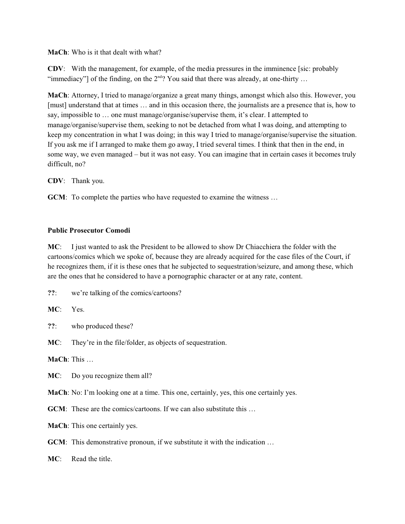### **MaCh**: Who is it that dealt with what?

**CDV**: With the management, for example, of the media pressures in the imminence [sic: probably "immediacy"] of the finding, on the  $2<sup>nd</sup>$ ? You said that there was already, at one-thirty ...

**MaCh**: Attorney, I tried to manage/organize a great many things, amongst which also this. However, you [must] understand that at times … and in this occasion there, the journalists are a presence that is, how to say, impossible to … one must manage/organise/supervise them, it's clear. I attempted to manage/organise/supervise them, seeking to not be detached from what I was doing, and attempting to keep my concentration in what I was doing; in this way I tried to manage/organise/supervise the situation. If you ask me if I arranged to make them go away, I tried several times. I think that then in the end, in some way, we even managed – but it was not easy. You can imagine that in certain cases it becomes truly difficult, no?

**CDV**: Thank you.

**GCM**: To complete the parties who have requested to examine the witness ...

### **Public Prosecutor Comodi**

**MC**: I just wanted to ask the President to be allowed to show Dr Chiacchiera the folder with the cartoons/comics which we spoke of, because they are already acquired for the case files of the Court, if he recognizes them, if it is these ones that he subjected to sequestration/seizure, and among these, which are the ones that he considered to have a pornographic character or at any rate, content.

**??**: we're talking of the comics/cartoons?

**MC**: Yes.

**??**: who produced these?

**MC**: They're in the file/folder, as objects of sequestration.

**MaCh**: This …

**MC**: Do you recognize them all?

**MaCh**: No: I'm looking one at a time. This one, certainly, yes, this one certainly yes.

**GCM**: These are the comics/cartoons. If we can also substitute this ...

**MaCh**: This one certainly yes.

**GCM**: This demonstrative pronoun, if we substitute it with the indication ...

**MC**: Read the title.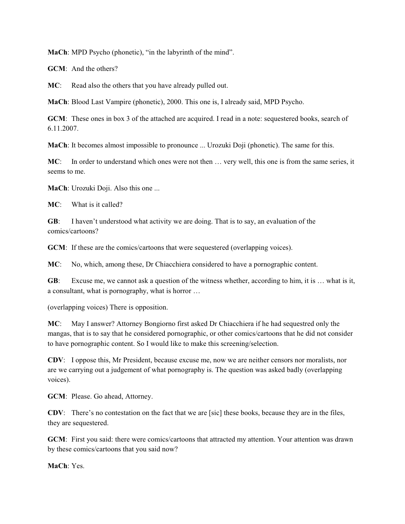**MaCh**: MPD Psycho (phonetic), "in the labyrinth of the mind".

**GCM**: And the others?

**MC**: Read also the others that you have already pulled out.

**MaCh**: Blood Last Vampire (phonetic), 2000. This one is, I already said, MPD Psycho.

**GCM**: These ones in box 3 of the attached are acquired. I read in a note: sequestered books, search of 6.11.2007.

**MaCh**: It becomes almost impossible to pronounce ... Urozuki Doji (phonetic). The same for this.

**MC**: In order to understand which ones were not then … very well, this one is from the same series, it seems to me.

**MaCh**: Urozuki Doji. Also this one ...

**MC**: What is it called?

**GB**: I haven't understood what activity we are doing. That is to say, an evaluation of the comics/cartoons?

**GCM**: If these are the comics/cartoons that were sequestered (overlapping voices).

**MC**: No, which, among these, Dr Chiacchiera considered to have a pornographic content.

**GB**: Excuse me, we cannot ask a question of the witness whether, according to him, it is … what is it, a consultant, what is pornography, what is horror …

(overlapping voices) There is opposition.

**MC**: May I answer? Attorney Bongiorno first asked Dr Chiacchiera if he had sequestred only the mangas, that is to say that he considered pornographic, or other comics/cartoons that he did not consider to have pornographic content. So I would like to make this screening/selection.

**CDV**: I oppose this, Mr President, because excuse me, now we are neither censors nor moralists, nor are we carrying out a judgement of what pornography is. The question was asked badly (overlapping voices).

**GCM**: Please. Go ahead, Attorney.

**CDV**: There's no contestation on the fact that we are [sic] these books, because they are in the files, they are sequestered.

**GCM**: First you said: there were comics/cartoons that attracted my attention. Your attention was drawn by these comics/cartoons that you said now?

**MaCh**: Yes.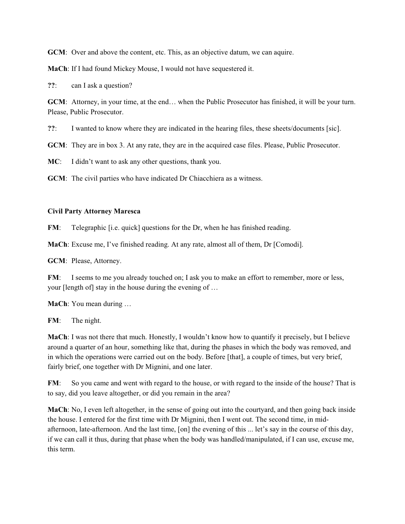**GCM**: Over and above the content, etc. This, as an objective datum, we can aquire.

**MaCh**: If I had found Mickey Mouse, I would not have sequestered it.

**??**: can I ask a question?

**GCM**: Attorney, in your time, at the end... when the Public Prosecutor has finished, it will be your turn. Please, Public Prosecutor.

**??**: I wanted to know where they are indicated in the hearing files, these sheets/documents [sic].

**GCM**: They are in box 3. At any rate, they are in the acquired case files. Please, Public Prosecutor.

**MC**: I didn't want to ask any other questions, thank you.

**GCM**: The civil parties who have indicated Dr Chiacchiera as a witness.

#### **Civil Party Attorney Maresca**

**FM:** Telegraphic [i.e. quick] questions for the Dr, when he has finished reading.

**MaCh**: Excuse me, I've finished reading. At any rate, almost all of them, Dr [Comodi].

**GCM**: Please, Attorney.

**FM:** I seems to me you already touched on; I ask you to make an effort to remember, more or less, your [length of] stay in the house during the evening of …

**MaCh**: You mean during …

**FM**: The night.

**MaCh**: I was not there that much. Honestly, I wouldn't know how to quantify it precisely, but I believe around a quarter of an hour, something like that, during the phases in which the body was removed, and in which the operations were carried out on the body. Before [that], a couple of times, but very brief, fairly brief, one together with Dr Mignini, and one later.

**FM:** So you came and went with regard to the house, or with regard to the inside of the house? That is to say, did you leave altogether, or did you remain in the area?

**MaCh**: No, I even left altogether, in the sense of going out into the courtyard, and then going back inside the house. I entered for the first time with Dr Mignini, then I went out. The second time, in midafternoon, late-afternoon. And the last time, [on] the evening of this ... let's say in the course of this day, if we can call it thus, during that phase when the body was handled/manipulated, if I can use, excuse me, this term.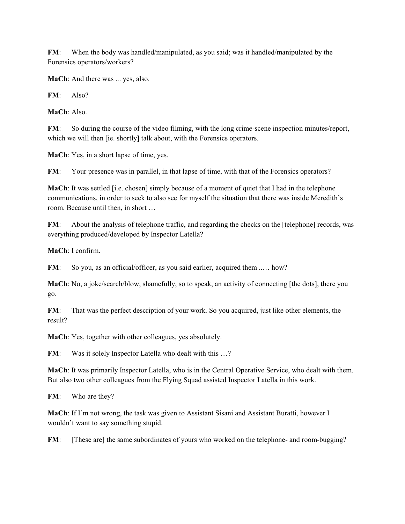**FM**: When the body was handled/manipulated, as you said; was it handled/manipulated by the Forensics operators/workers?

**MaCh:** And there was ... yes, also.

**FM**: Also?

**MaCh**: Also.

**FM**: So during the course of the video filming, with the long crime-scene inspection minutes/report, which we will then [ie. shortly] talk about, with the Forensics operators.

**MaCh**: Yes, in a short lapse of time, yes.

**FM:** Your presence was in parallel, in that lapse of time, with that of the Forensics operators?

**MaCh**: It was settled [i.e. chosen] simply because of a moment of quiet that I had in the telephone communications, in order to seek to also see for myself the situation that there was inside Meredith's room. Because until then, in short …

**FM**: About the analysis of telephone traffic, and regarding the checks on the [telephone] records, was everything produced/developed by Inspector Latella?

**MaCh**: I confirm.

**FM**: So you, as an official/officer, as you said earlier, acquired them ..... how?

**MaCh**: No, a joke/search/blow, shamefully, so to speak, an activity of connecting [the dots], there you go.

**FM:** That was the perfect description of your work. So you acquired, just like other elements, the result?

**MaCh**: Yes, together with other colleagues, yes absolutely.

**FM**: Was it solely Inspector Latella who dealt with this ...?

**MaCh**: It was primarily Inspector Latella, who is in the Central Operative Service, who dealt with them. But also two other colleagues from the Flying Squad assisted Inspector Latella in this work.

**FM**: Who are they?

**MaCh**: If I'm not wrong, the task was given to Assistant Sisani and Assistant Buratti, however I wouldn't want to say something stupid.

**FM:** [These are] the same subordinates of yours who worked on the telephone- and room-bugging?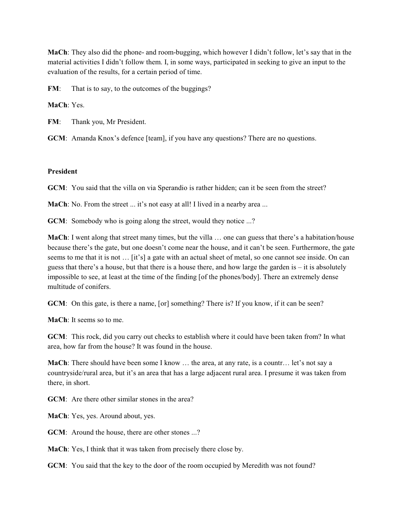**MaCh**: They also did the phone- and room-bugging, which however I didn't follow, let's say that in the material activities I didn't follow them. I, in some ways, participated in seeking to give an input to the evaluation of the results, for a certain period of time.

**FM:** That is to say, to the outcomes of the buggings?

**MaCh**: Yes.

**FM**: Thank you, Mr President.

**GCM**: Amanda Knox's defence [team], if you have any questions? There are no questions.

#### **President**

**GCM**: You said that the villa on via Sperandio is rather hidden; can it be seen from the street?

**MaCh**: No. From the street ... it's not easy at all! I lived in a nearby area ...

**GCM**: Somebody who is going along the street, would they notice ...?

**MaCh**: I went along that street many times, but the villa … one can guess that there's a habitation/house because there's the gate, but one doesn't come near the house, and it can't be seen. Furthermore, the gate seems to me that it is not … [it's] a gate with an actual sheet of metal, so one cannot see inside. On can guess that there's a house, but that there is a house there, and how large the garden is – it is absolutely impossible to see, at least at the time of the finding [of the phones/body]. There an extremely dense multitude of conifers.

**GCM**: On this gate, is there a name, [or] something? There is? If you know, if it can be seen?

**MaCh**: It seems so to me.

**GCM**: This rock, did you carry out checks to establish where it could have been taken from? In what area, how far from the house? It was found in the house.

**MaCh**: There should have been some I know … the area, at any rate, is a countr… let's not say a countryside/rural area, but it's an area that has a large adjacent rural area. I presume it was taken from there, in short.

**GCM**: Are there other similar stones in the area?

**MaCh**: Yes, yes. Around about, yes.

**GCM**: Around the house, there are other stones ...?

**MaCh**: Yes, I think that it was taken from precisely there close by.

**GCM**: You said that the key to the door of the room occupied by Meredith was not found?